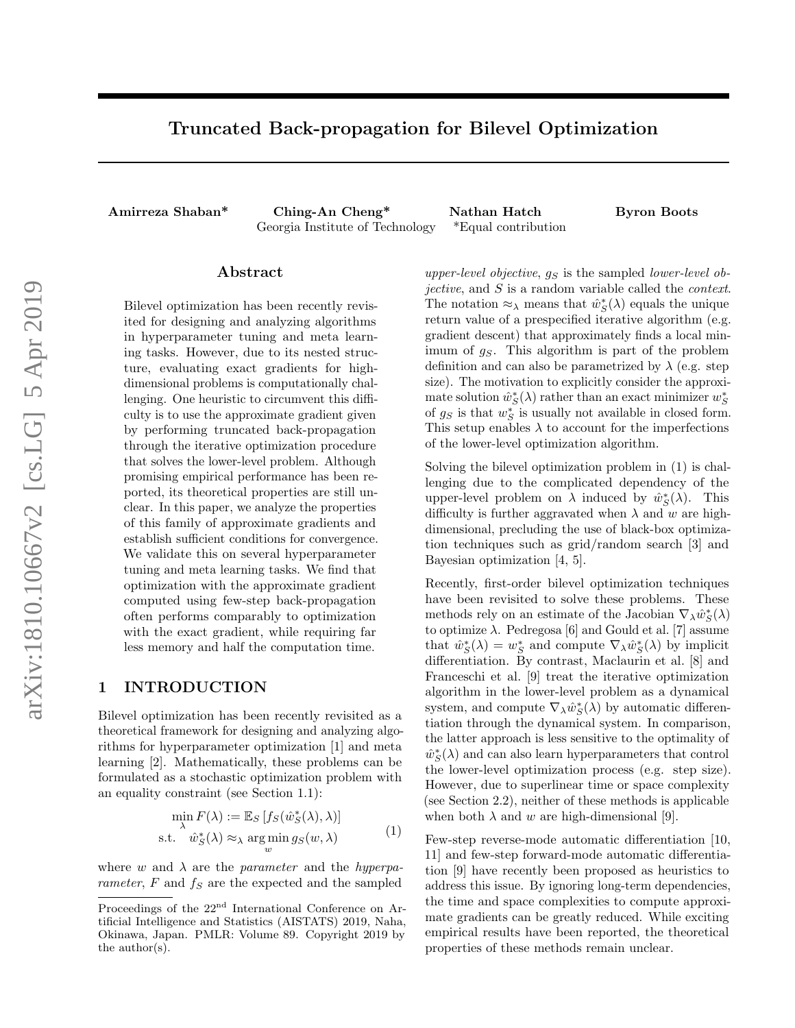# Truncated Back-propagation for Bilevel Optimization

Amirreza Shaban\* Ching-An Cheng\* Nathan Hatch Byron Boots Georgia Institute of Technology \*Equal contribution

### Abstract

Bilevel optimization has been recently revisited for designing and analyzing algorithms in hyperparameter tuning and meta learning tasks. However, due to its nested structure, evaluating exact gradients for highdimensional problems is computationally challenging. One heuristic to circumvent this difficulty is to use the approximate gradient given by performing truncated back-propagation through the iterative optimization procedure that solves the lower-level problem. Although promising empirical performance has been reported, its theoretical properties are still unclear. In this paper, we analyze the properties of this family of approximate gradients and establish sufficient conditions for convergence. We validate this on several hyperparameter tuning and meta learning tasks. We find that optimization with the approximate gradient computed using few-step back-propagation often performs comparably to optimization with the exact gradient, while requiring far less memory and half the computation time.

### 1 INTRODUCTION

Bilevel optimization has been recently revisited as a theoretical framework for designing and analyzing algorithms for hyperparameter optimization [1] and meta learning [2]. Mathematically, these problems can be formulated as a stochastic optimization problem with an equality constraint (see Section 1.1):

$$
\min_{\lambda} F(\lambda) := \mathbb{E}_{S} [f_{S}(\hat{w}_{S}^{*}(\lambda), \lambda)]
$$
  
s.t.  $\hat{w}_{S}^{*}(\lambda) \approx_{\lambda} \arg\min_{w} g_{S}(w, \lambda)$  (1)

where w and  $\lambda$  are the parameter and the hyperparameter,  $F$  and  $f_S$  are the expected and the sampled

upper-level objective,  $g_S$  is the sampled lower-level objective, and S is a random variable called the context. The notation  $\approx_{\lambda}$  means that  $\hat{w}_{\mathcal{S}}^*(\lambda)$  equals the unique return value of a prespecified iterative algorithm (e.g. gradient descent) that approximately finds a local minimum of  $q<sub>S</sub>$ . This algorithm is part of the problem definition and can also be parametrized by  $\lambda$  (e.g. step size). The motivation to explicitly consider the approximate solution  $\hat{w}_S^*(\lambda)$  rather than an exact minimizer  $w_S^*$ of  $g_S$  is that  $w_S^*$  is usually not available in closed form. This setup enables  $\lambda$  to account for the imperfections of the lower-level optimization algorithm.

Solving the bilevel optimization problem in (1) is challenging due to the complicated dependency of the upper-level problem on  $\lambda$  induced by  $\hat{w}_S^*(\lambda)$ . This difficulty is further aggravated when  $\lambda$  and w are highdimensional, precluding the use of black-box optimization techniques such as grid/random search [3] and Bayesian optimization [4, 5].

Recently, first-order bilevel optimization techniques have been revisited to solve these problems. These methods rely on an estimate of the Jacobian  $\nabla_{\lambda} \hat{w}^*_{S}(\lambda)$ to optimize  $\lambda$ . Pedregosa [6] and Gould et al. [7] assume that  $\hat{w}_S^*(\lambda) = w_S^*$  and compute  $\nabla_\lambda \hat{w}_S^*(\lambda)$  by implicit differentiation. By contrast, Maclaurin et al. [8] and Franceschi et al. [9] treat the iterative optimization algorithm in the lower-level problem as a dynamical system, and compute  $\nabla_{\lambda} \hat{w}_{S}^{\ast}(\lambda)$  by automatic differentiation through the dynamical system. In comparison, the latter approach is less sensitive to the optimality of  $\hat{w}^*_S(\lambda)$  and can also learn hyperparameters that control the lower-level optimization process (e.g. step size). However, due to superlinear time or space complexity (see Section 2.2), neither of these methods is applicable when both  $\lambda$  and w are high-dimensional [9].

Few-step reverse-mode automatic differentiation [10, 11] and few-step forward-mode automatic differentiation [9] have recently been proposed as heuristics to address this issue. By ignoring long-term dependencies, the time and space complexities to compute approximate gradients can be greatly reduced. While exciting empirical results have been reported, the theoretical properties of these methods remain unclear.

Proceedings of the 22<sup>nd</sup> International Conference on Artificial Intelligence and Statistics (AISTATS) 2019, Naha, Okinawa, Japan. PMLR: Volume 89. Copyright 2019 by the author(s).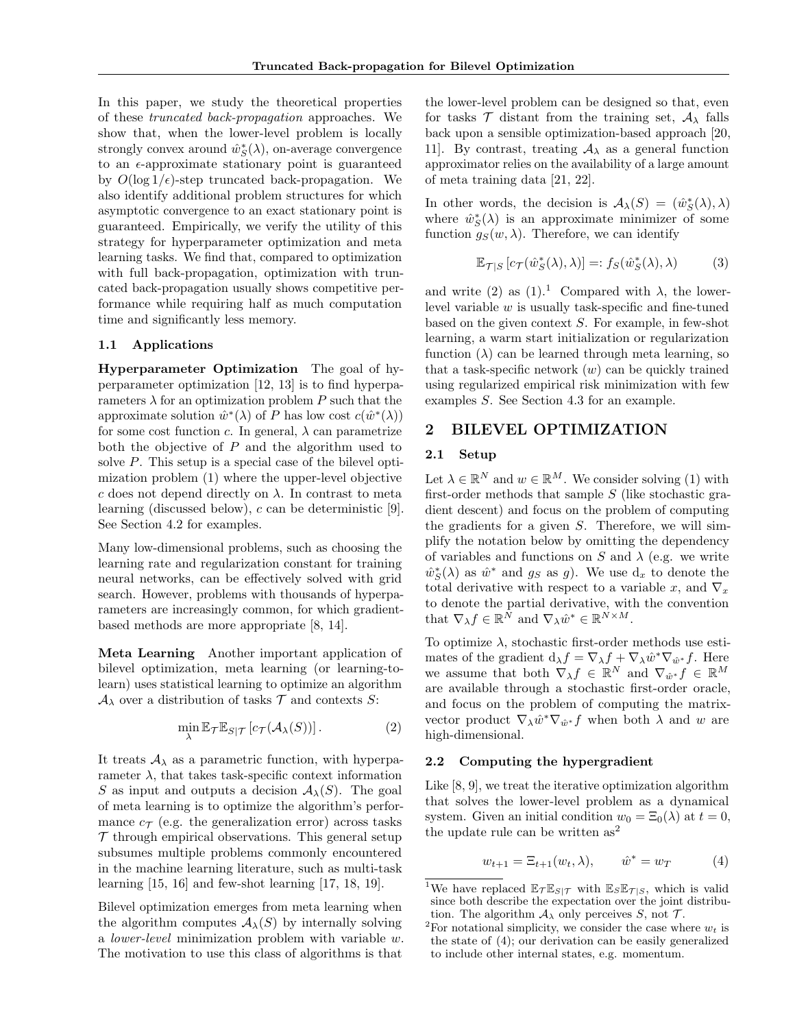In this paper, we study the theoretical properties of these truncated back-propagation approaches. We show that, when the lower-level problem is locally strongly convex around  $\hat{w}_S^*(\lambda)$ , on-average convergence to an  $\epsilon$ -approximate stationary point is guaranteed by  $O(\log 1/\epsilon)$ -step truncated back-propagation. We also identify additional problem structures for which asymptotic convergence to an exact stationary point is guaranteed. Empirically, we verify the utility of this strategy for hyperparameter optimization and meta learning tasks. We find that, compared to optimization with full back-propagation, optimization with truncated back-propagation usually shows competitive performance while requiring half as much computation time and significantly less memory.

#### 1.1 Applications

Hyperparameter Optimization The goal of hyperparameter optimization [12, 13] is to find hyperparameters  $\lambda$  for an optimization problem P such that the approximate solution  $\hat{w}^*(\lambda)$  of P has low cost  $c(\hat{w}^*(\lambda))$ for some cost function c. In general,  $\lambda$  can parametrize both the objective of  $P$  and the algorithm used to solve P. This setup is a special case of the bilevel optimization problem (1) where the upper-level objective c does not depend directly on  $\lambda$ . In contrast to meta learning (discussed below), c can be deterministic [9]. See Section 4.2 for examples.

Many low-dimensional problems, such as choosing the learning rate and regularization constant for training neural networks, can be effectively solved with grid search. However, problems with thousands of hyperparameters are increasingly common, for which gradientbased methods are more appropriate [8, 14].

Meta Learning Another important application of bilevel optimization, meta learning (or learning-tolearn) uses statistical learning to optimize an algorithm  $\mathcal{A}_{\lambda}$  over a distribution of tasks  $\mathcal{T}$  and contexts  $S$ :

$$
\min_{\lambda} \mathbb{E}_{\mathcal{T}} \mathbb{E}_{S|\mathcal{T}} \left[ c_{\mathcal{T}}(\mathcal{A}_{\lambda}(S)) \right]. \tag{2}
$$

It treats  $A_{\lambda}$  as a parametric function, with hyperparameter  $\lambda$ , that takes task-specific context information S as input and outputs a decision  $A_{\lambda}(S)$ . The goal of meta learning is to optimize the algorithm's performance  $c_{\mathcal{T}}$  (e.g. the generalization error) across tasks  $\mathcal T$  through empirical observations. This general setup subsumes multiple problems commonly encountered in the machine learning literature, such as multi-task learning [15, 16] and few-shot learning [17, 18, 19].

Bilevel optimization emerges from meta learning when the algorithm computes  $A_{\lambda}(S)$  by internally solving a lower-level minimization problem with variable w. The motivation to use this class of algorithms is that

the lower-level problem can be designed so that, even for tasks  $\mathcal T$  distant from the training set,  $\mathcal A_\lambda$  falls back upon a sensible optimization-based approach [20, 11]. By contrast, treating  $A_{\lambda}$  as a general function approximator relies on the availability of a large amount of meta training data [21, 22].

In other words, the decision is  $\mathcal{A}_{\lambda}(S) = (\hat{w}_S^*(\lambda), \lambda)$ where  $\hat{w}_S^*(\lambda)$  is an approximate minimizer of some function  $g_S(w, \lambda)$ . Therefore, we can identify

$$
\mathbb{E}_{\mathcal{T}|S} \left[ c_{\mathcal{T}}(\hat{w}_S^*(\lambda), \lambda) \right] =: f_S(\hat{w}_S^*(\lambda), \lambda) \tag{3}
$$

and write (2) as  $(1)$ .<sup>1</sup> Compared with  $\lambda$ , the lowerlevel variable  $w$  is usually task-specific and fine-tuned based on the given context S. For example, in few-shot learning, a warm start initialization or regularization function  $(\lambda)$  can be learned through meta learning, so that a task-specific network  $(w)$  can be quickly trained using regularized empirical risk minimization with few examples S. See Section 4.3 for an example.

# 2 BILEVEL OPTIMIZATION

# 2.1 Setup

Let  $\lambda \in \mathbb{R}^N$  and  $w \in \mathbb{R}^M$ . We consider solving (1) with first-order methods that sample  $S$  (like stochastic gradient descent) and focus on the problem of computing the gradients for a given S. Therefore, we will simplify the notation below by omitting the dependency of variables and functions on S and  $\lambda$  (e.g. we write  $\hat{w}_S^*(\lambda)$  as  $\hat{w}^*$  and  $g_S$  as g). We use  $d_x$  to denote the total derivative with respect to a variable x, and  $\nabla_x$ to denote the partial derivative, with the convention that  $\nabla_{\lambda} f \in \mathbb{R}^N$  and  $\nabla_{\lambda} \hat{w}^* \in \mathbb{R}^{N \times M}$ .

To optimize  $\lambda$ , stochastic first-order methods use estimates of the gradient  $d_{\lambda}f = \nabla_{\lambda}f + \nabla_{\lambda}\hat{w}^*\nabla_{\hat{w}^*}f$ . Here we assume that both  $\nabla_{\lambda} f \in \mathbb{R}^{N}$  and  $\nabla_{\hat{w}^*} f \in \mathbb{R}^{M}$ are available through a stochastic first-order oracle, and focus on the problem of computing the matrixvector product  $\nabla_{\lambda} \hat{w}^* \nabla_{\hat{w}^*} f$  when both  $\lambda$  and w are high-dimensional.

### 2.2 Computing the hypergradient

Like [8, 9], we treat the iterative optimization algorithm that solves the lower-level problem as a dynamical system. Given an initial condition  $w_0 = \Xi_0(\lambda)$  at  $t = 0$ , the update rule can be written  $as<sup>2</sup>$ 

$$
w_{t+1} = \Xi_{t+1}(w_t, \lambda), \qquad \hat{w}^* = w_T \tag{4}
$$

<sup>&</sup>lt;sup>1</sup>We have replaced  $\mathbb{E}_{\mathcal{T}} \mathbb{E}_{S|\mathcal{T}}$  with  $\mathbb{E}_{S} \mathbb{E}_{\mathcal{T}|S}$ , which is valid since both describe the expectation over the joint distribution. The algorithm  $A_{\lambda}$  only perceives S, not T.

<sup>&</sup>lt;sup>2</sup>For notational simplicity, we consider the case where  $w_t$  is the state of (4); our derivation can be easily generalized to include other internal states, e.g. momentum.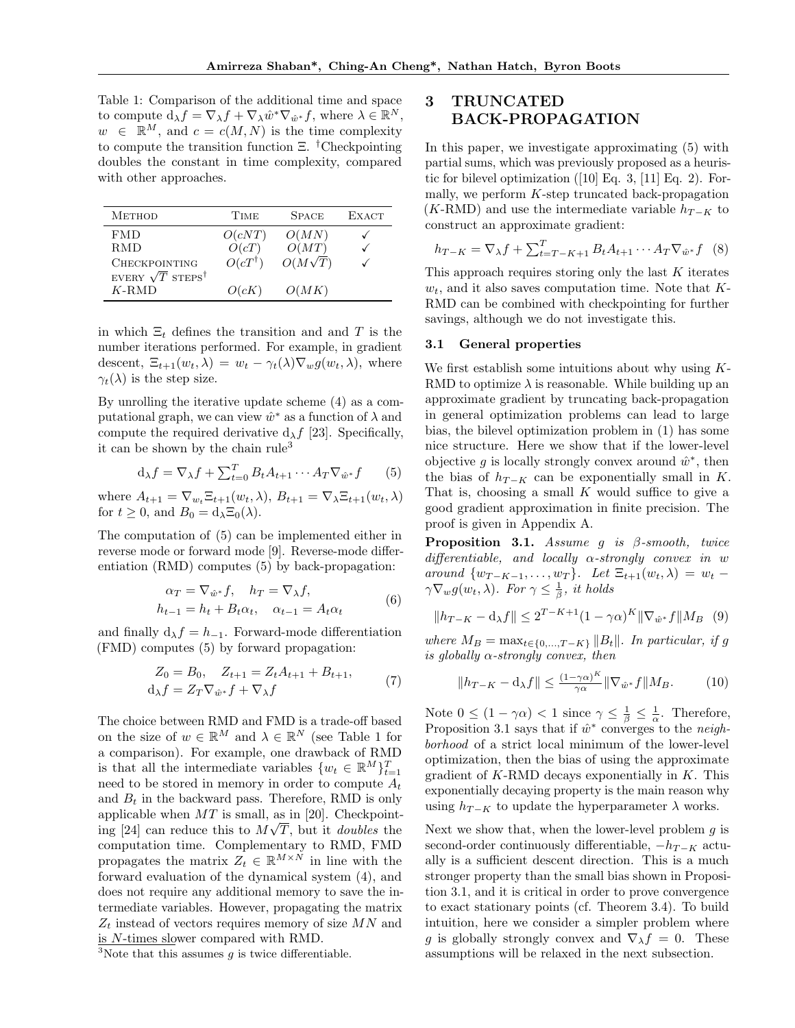Table 1: Comparison of the additional time and space to compute  $d_{\lambda} f = \nabla_{\lambda} f + \nabla_{\lambda} \hat{w}^* \nabla_{\hat{w}^*} f$ , where  $\lambda \in \mathbb{R}^N$ ,  $w \in \mathbb{R}^M$ , and  $c = c(M, N)$  is the time complexity to compute the transition function  $\Xi$ . <sup>†</sup>Checkpointing doubles the constant in time complexity, compared with other approaches.

| <b>METHOD</b>                       | <b>TIME</b>                | <b>SPACE</b>            | <b>EXACT</b> |
|-------------------------------------|----------------------------|-------------------------|--------------|
| <b>FMD</b>                          | O(cNT)                     | O(MN)                   |              |
| R.MD<br><b>CHECKPOINTING</b>        | O(cT)<br>$O(cT^{\dagger})$ | O(MT)<br>$O(M\sqrt{T})$ |              |
| EVERY $\sqrt{T}$ STEPS <sup>†</sup> |                            |                         |              |
| $K$ -RMD                            | O(cK)                      | O(MK)                   |              |

in which  $\Xi_t$  defines the transition and and T is the number iterations performed. For example, in gradient descent,  $\Xi_{t+1}(w_t, \lambda) = w_t - \gamma_t(\lambda) \nabla_w g(w_t, \lambda)$ , where  $\gamma_t(\lambda)$  is the step size.

By unrolling the iterative update scheme (4) as a computational graph, we can view  $\hat{w}^*$  as a function of  $\lambda$  and compute the required derivative  $d_{\lambda}f$  [23]. Specifically, it can be shown by the chain rule<sup>3</sup>

$$
d_{\lambda}f = \nabla_{\lambda}f + \sum_{t=0}^{T} B_t A_{t+1} \cdots A_T \nabla_{\hat{w}^*} f \qquad (5)
$$

where  $A_{t+1} = \nabla_{w_t} \Xi_{t+1}(w_t, \lambda), B_{t+1} = \nabla_{\lambda} \Xi_{t+1}(w_t, \lambda)$ for  $t \geq 0$ , and  $B_0 = d_\lambda \Xi_0(\lambda)$ .

The computation of (5) can be implemented either in reverse mode or forward mode [9]. Reverse-mode differentiation (RMD) computes (5) by back-propagation:

$$
\alpha_T = \nabla_{\hat{w}^*} f, \quad h_T = \nabla_{\lambda} f,
$$
  
\n
$$
h_{t-1} = h_t + B_t \alpha_t, \quad \alpha_{t-1} = A_t \alpha_t
$$
 (6)

and finally  $d_{\lambda} f = h_{-1}$ . Forward-mode differentiation (FMD) computes (5) by forward propagation:

$$
Z_0 = B_0, \quad Z_{t+1} = Z_t A_{t+1} + B_{t+1},
$$
  
\n
$$
d_{\lambda} f = Z_T \nabla_{\hat{w}^*} f + \nabla_{\lambda} f
$$
\n(7)

The choice between RMD and FMD is a trade-off based on the size of  $w \in \mathbb{R}^M$  and  $\lambda \in \mathbb{R}^N$  (see Table 1 for a comparison). For example, one drawback of RMD is that all the intermediate variables  $\{w_t \in \mathbb{R}^M\}_{t=1}^T$ need to be stored in memory in order to compute  $A_t$ and  $B_t$  in the backward pass. Therefore, RMD is only applicable when  $MT$  is small, as in [20]. Checkpointing [24] can reduce this to  $M\sqrt{T}$ , but it *doubles* the computation time. Complementary to RMD, FMD propagates the matrix  $Z_t \in \mathbb{R}^{M \times N}$  in line with the forward evaluation of the dynamical system (4), and does not require any additional memory to save the intermediate variables. However, propagating the matrix  $\mathbb{Z}_t$  instead of vectors requires memory of size  $MN$  and is N-times slower compared with RMD.

# 3 TRUNCATED BACK-PROPAGATION

In this paper, we investigate approximating (5) with partial sums, which was previously proposed as a heuristic for bilevel optimization  $(10)$  Eq. 3,  $[11]$  Eq. 2). Formally, we perform  $K$ -step truncated back-propagation  $(K-RMD)$  and use the intermediate variable  $h_{T-K}$  to construct an approximate gradient:

$$
h_{T-K} = \nabla_{\lambda} f + \sum_{t=T-K+1}^{T} B_t A_{t+1} \cdots A_T \nabla_{\hat{w}^*} f
$$
 (8)

This approach requires storing only the last  $K$  iterates  $w_t$ , and it also saves computation time. Note that  $K$ -RMD can be combined with checkpointing for further savings, although we do not investigate this.

### 3.1 General properties

We first establish some intuitions about why using K-RMD to optimize  $\lambda$  is reasonable. While building up an approximate gradient by truncating back-propagation in general optimization problems can lead to large bias, the bilevel optimization problem in (1) has some nice structure. Here we show that if the lower-level objective g is locally strongly convex around  $\hat{w}^*$ , then the bias of  $h_{T-K}$  can be exponentially small in K. That is, choosing a small  $K$  would suffice to give a good gradient approximation in finite precision. The proof is given in Appendix A.

**Proposition 3.1.** Assume g is  $\beta$ -smooth, twice differentiable, and locally  $\alpha$ -strongly convex in w around  $\{w_{T-K-1}, \ldots, w_T\}$ . Let  $\Xi_{t+1}(w_t, \lambda) = w_t$  $\gamma \nabla_w g(w_t, \lambda)$ . For  $\gamma \leq \frac{1}{\beta}$ , it holds

$$
||h_{T-K} - \mathbf{d}_{\lambda}f|| \le 2^{T-K+1}(1-\gamma\alpha)^K ||\nabla_{\hat{w}^*}f||M_B \quad (9)
$$

where  $M_B = \max_{t \in \{0, ..., T-K\}} \|B_t\|$ . In particular, if g is globally  $\alpha$ -strongly convex, then

$$
||h_{T-K} - \mathbf{d}\lambda f|| \le \frac{(1-\gamma\alpha)^K}{\gamma\alpha} ||\nabla_{\hat{w}^*} f|| M_B. \tag{10}
$$

Note  $0 \leq (1 - \gamma \alpha) < 1$  since  $\gamma \leq \frac{1}{\beta} \leq \frac{1}{\alpha}$ . Therefore, Proposition 3.1 says that if  $\hat{w}^*$  converges to the neighborhood of a strict local minimum of the lower-level optimization, then the bias of using the approximate gradient of  $K$ -RMD decays exponentially in  $K$ . This exponentially decaying property is the main reason why using  $h_{T-K}$  to update the hyperparameter  $\lambda$  works.

Next we show that, when the lower-level problem  $g$  is second-order continuously differentiable,  $-h_{T-K}$  actually is a sufficient descent direction. This is a much stronger property than the small bias shown in Proposition 3.1, and it is critical in order to prove convergence to exact stationary points (cf. Theorem 3.4). To build intuition, here we consider a simpler problem where g is globally strongly convex and  $\nabla_{\lambda} f = 0$ . These assumptions will be relaxed in the next subsection.

 $3$ Note that this assumes g is twice differentiable.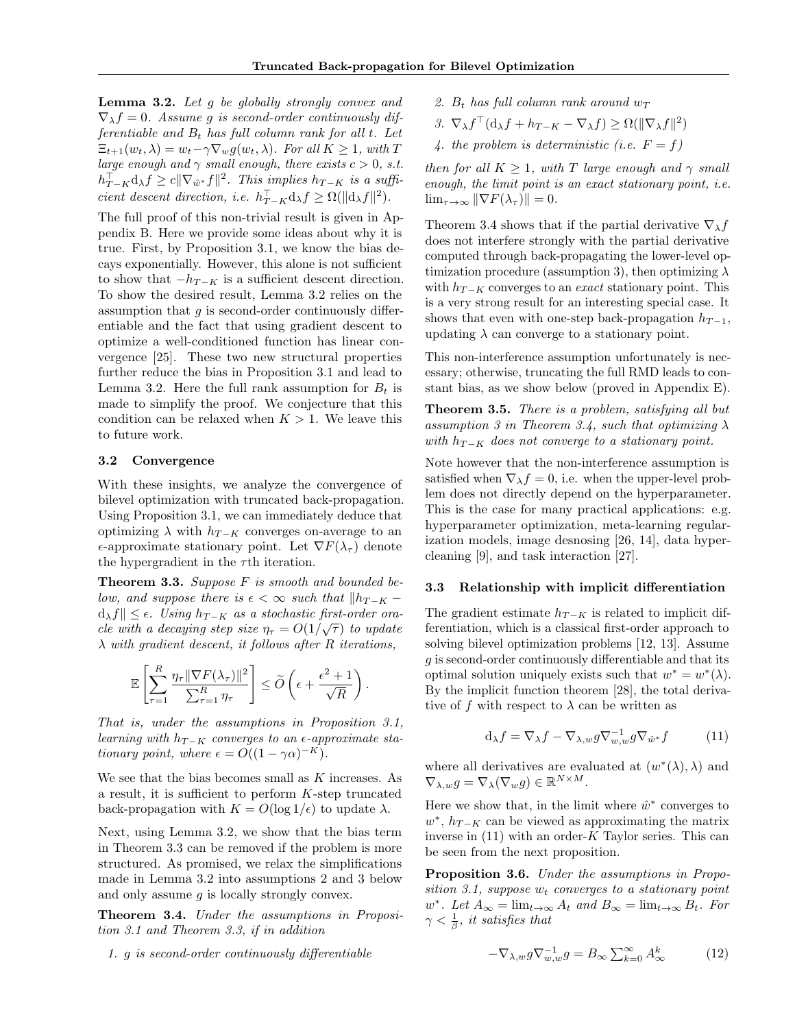Lemma 3.2. Let g be globally strongly convex and  $\nabla_{\lambda} f = 0$ . Assume g is second-order continuously differentiable and  $B_t$  has full column rank for all t. Let  $\Xi_{t+1}(w_t, \lambda) = w_t - \gamma \nabla_w g(w_t, \lambda)$ . For all  $K \geq 1$ , with T large enough and  $\gamma$  small enough, there exists  $c > 0$ , s.t.  $h_{T-K}^{\top} d_{\lambda} f \geq c ||\nabla_{\hat{w}^*} f||^2$ . This implies  $h_{T-K}$  is a sufficient descent direction, i.e.  $h_{T-K}^{\top} d_{\lambda} f \ge \Omega(||d_{\lambda} f||^2)$ .

The full proof of this non-trivial result is given in Appendix B. Here we provide some ideas about why it is true. First, by Proposition 3.1, we know the bias decays exponentially. However, this alone is not sufficient to show that  $-h_{T-K}$  is a sufficient descent direction. To show the desired result, Lemma 3.2 relies on the assumption that  $q$  is second-order continuously differentiable and the fact that using gradient descent to optimize a well-conditioned function has linear convergence [25]. These two new structural properties further reduce the bias in Proposition 3.1 and lead to Lemma 3.2. Here the full rank assumption for  $B_t$  is made to simplify the proof. We conjecture that this condition can be relaxed when  $K > 1$ . We leave this to future work.

#### 3.2 Convergence

With these insights, we analyze the convergence of bilevel optimization with truncated back-propagation. Using Proposition 3.1, we can immediately deduce that optimizing  $\lambda$  with  $h_{T-K}$  converges on-average to an  $\epsilon$ -approximate stationary point. Let  $\nabla F(\lambda_\tau)$  denote the hypergradient in the  $\tau$ <sup>th</sup> iteration.

**Theorem 3.3.** Suppose  $F$  is smooth and bounded below, and suppose there is  $\epsilon < \infty$  such that  $||h_{T-K} - h||$  $d_{\lambda}f\| \leq \epsilon$ . Using  $h_{T-K}$  as a stochastic first-order oracle with a decaying step size  $\eta_{\tau} = O(1/\sqrt{\tau})$  to update  $\lambda$  with gradient descent, it follows after R iterations,

$$
\mathbb{E}\left[\sum_{\tau=1}^R \frac{\eta_\tau \|\nabla F(\lambda_\tau)\|^2}{\sum_{\tau=1}^R \eta_\tau}\right] \leq \widetilde{O}\left(\epsilon + \frac{\epsilon^2 + 1}{\sqrt{R}}\right).
$$

That is, under the assumptions in Proposition 3.1, learning with  $h_{T-K}$  converges to an  $\epsilon$ -approximate stationary point, where  $\epsilon = O((1 - \gamma \alpha)^{-K}).$ 

We see that the bias becomes small as  $K$  increases. As a result, it is sufficient to perform K-step truncated back-propagation with  $K = O(\log 1/\epsilon)$  to update  $\lambda$ .

Next, using Lemma 3.2, we show that the bias term in Theorem 3.3 can be removed if the problem is more structured. As promised, we relax the simplifications made in Lemma 3.2 into assumptions 2 and 3 below and only assume  $q$  is locally strongly convex.

Theorem 3.4. Under the assumptions in Proposition 3.1 and Theorem 3.3, if in addition

1. g is second-order continuously differentiable

- 2.  $B_t$  has full column rank around  $w_T$
- 3.  $\nabla_{\lambda} f^{\top}(\mathrm{d}_{\lambda} f + h_{T-K} \nabla_{\lambda} f) \geq \Omega(\|\nabla_{\lambda} f\|^2)$
- 4. the problem is deterministic (i.e.  $F = f$ )

then for all  $K > 1$ , with T large enough and  $\gamma$  small enough, the limit point is an exact stationary point, i.e.  $\lim_{\tau \to \infty} \|\nabla F(\lambda_\tau)\| = 0.$ 

Theorem 3.4 shows that if the partial derivative  $\nabla_{\lambda} f$ does not interfere strongly with the partial derivative computed through back-propagating the lower-level optimization procedure (assumption 3), then optimizing  $\lambda$ with  $h_{T-K}$  converges to an *exact* stationary point. This is a very strong result for an interesting special case. It shows that even with one-step back-propagation  $h_{T-1}$ , updating  $\lambda$  can converge to a stationary point.

This non-interference assumption unfortunately is necessary; otherwise, truncating the full RMD leads to constant bias, as we show below (proved in Appendix E).

**Theorem 3.5.** There is a problem, satisfying all but assumption 3 in Theorem 3.4, such that optimizing  $\lambda$ with  $h_{T-K}$  does not converge to a stationary point.

Note however that the non-interference assumption is satisfied when  $\nabla_{\lambda} f = 0$ , i.e. when the upper-level problem does not directly depend on the hyperparameter. This is the case for many practical applications: e.g. hyperparameter optimization, meta-learning regularization models, image desnosing [26, 14], data hypercleaning [9], and task interaction [27].

#### 3.3 Relationship with implicit differentiation

The gradient estimate  $h_{T-K}$  is related to implicit differentiation, which is a classical first-order approach to solving bilevel optimization problems [12, 13]. Assume g is second-order continuously differentiable and that its optimal solution uniquely exists such that  $w^* = w^*(\lambda)$ . By the implicit function theorem [28], the total derivative of f with respect to  $\lambda$  can be written as

$$
\mathrm{d}_{\lambda}f = \nabla_{\lambda}f - \nabla_{\lambda,w}g\nabla_{w,w}^{-1}g\nabla_{\hat{w}^*}f \tag{11}
$$

where all derivatives are evaluated at  $(w^*(\lambda), \lambda)$  and  $\nabla_{\lambda,w} g = \nabla_{\lambda} (\nabla_w g) \in \mathbb{R}^{N \times M}.$ 

Here we show that, in the limit where  $\hat{w}^*$  converges to  $w^*$ ,  $h_{T-K}$  can be viewed as approximating the matrix inverse in  $(11)$  with an order-K Taylor series. This can be seen from the next proposition.

Proposition 3.6. Under the assumptions in Proposition 3.1, suppose  $w_t$  converges to a stationary point  $w^*$ . Let  $A_{\infty} = \lim_{t \to \infty} A_t$  and  $B_{\infty} = \lim_{t \to \infty} B_t$ . For  $\gamma < \frac{1}{\beta}$ , it satisfies that

$$
-\nabla_{\lambda,w} g \nabla_{w,w}^{-1} g = B_{\infty} \sum_{k=0}^{\infty} A_{\infty}^k
$$
 (12)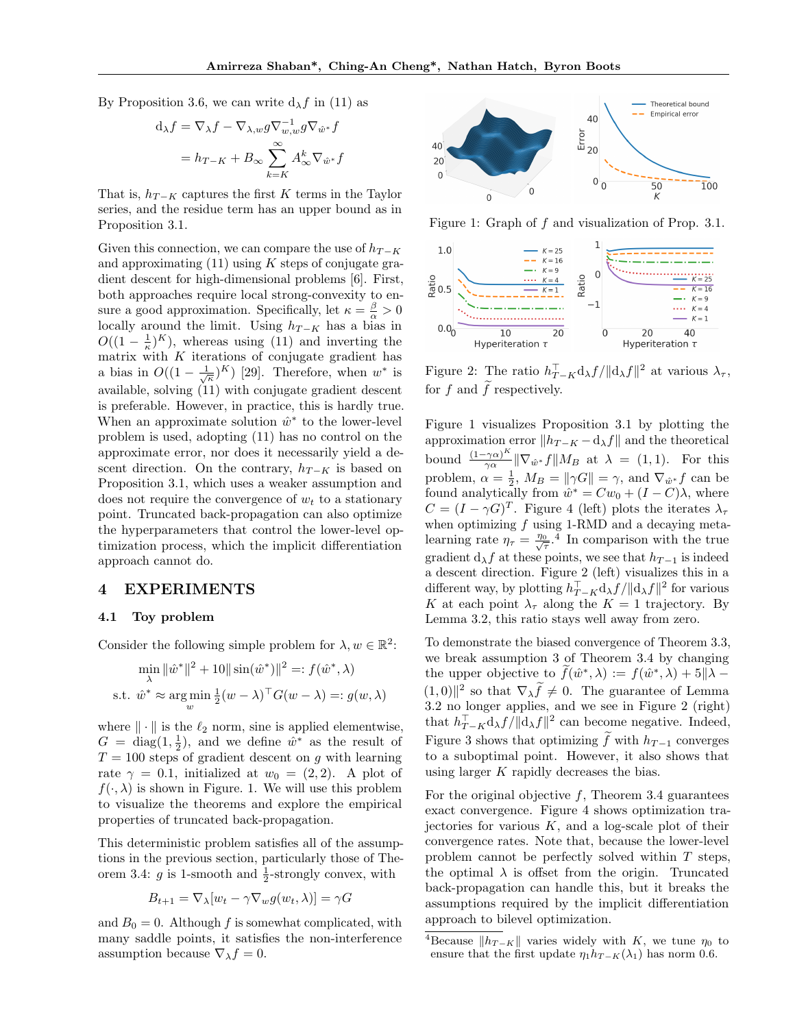By Proposition 3.6, we can write  $d_{\lambda} f$  in (11) as

$$
d_{\lambda}f = \nabla_{\lambda}f - \nabla_{\lambda,w}g\nabla_{w,w}^{-1}g\nabla_{\hat{w}^*}f
$$

$$
= h_{T-K} + B_{\infty}\sum_{k=K}^{\infty} A_{\infty}^k \nabla_{\hat{w}^*}f
$$

That is,  $h_{T-K}$  captures the first K terms in the Taylor series, and the residue term has an upper bound as in Proposition 3.1.

Given this connection, we can compare the use of  $h_{T-K}$ and approximating  $(11)$  using K steps of conjugate gradient descent for high-dimensional problems [6]. First, both approaches require local strong-convexity to ensure a good approximation. Specifically, let  $\kappa = \frac{\beta}{\alpha} > 0$ locally around the limit. Using  $h_{T-K}$  has a bias in  $O((1-\frac{1}{\kappa})^K)$ , whereas using (11) and inverting the matrix with  $K$  iterations of conjugate gradient has a bias in  $O((1-\frac{1}{\sqrt{\kappa}})^K)$  [29]. Therefore, when  $w^*$  is available, solving (11) with conjugate gradient descent is preferable. However, in practice, this is hardly true. When an approximate solution  $\hat{w}^*$  to the lower-level problem is used, adopting (11) has no control on the approximate error, nor does it necessarily yield a descent direction. On the contrary,  $h_{T-K}$  is based on Proposition 3.1, which uses a weaker assumption and does not require the convergence of  $w_t$  to a stationary point. Truncated back-propagation can also optimize the hyperparameters that control the lower-level optimization process, which the implicit differentiation approach cannot do.

### 4 EXPERIMENTS

### 4.1 Toy problem

Consider the following simple problem for  $\lambda, w \in \mathbb{R}^2$ :

$$
\min_{\lambda} \|\hat{w}^*\|^2 + 10\| \sin(\hat{w}^*)\|^2 =: f(\hat{w}^*, \lambda)
$$
  
s.t.  $\hat{w}^* \approx \arg\min_{w} \frac{1}{2}(w - \lambda)^{\top} G(w - \lambda) =: g(w, \lambda)$ 

where  $\|\cdot\|$  is the  $\ell_2$  norm, sine is applied elementwise,  $G = \text{diag}(1, \frac{1}{2})$ , and we define  $\hat{w}^*$  as the result of  $T = 100$  steps of gradient descent on g with learning rate  $\gamma = 0.1$ , initialized at  $w_0 = (2, 2)$ . A plot of  $f(\cdot, \lambda)$  is shown in Figure. 1. We will use this problem to visualize the theorems and explore the empirical properties of truncated back-propagation.

This deterministic problem satisfies all of the assumptions in the previous section, particularly those of Theorem 3.4:  $g$  is 1-smooth and  $\frac{1}{2}$ -strongly convex, with

$$
B_{t+1} = \nabla_{\lambda}[w_t - \gamma \nabla_w g(w_t, \lambda)] = \gamma G
$$

and  $B_0 = 0$ . Although f is somewhat complicated, with many saddle points, it satisfies the non-interference assumption because  $\nabla_{\lambda} f = 0$ .



Figure 1: Graph of f and visualization of Prop. 3.1.



Figure 2: The ratio  $h_{T-K}^{\top} d_{\lambda} f / || d_{\lambda} f ||^2$  at various  $\lambda_{\tau}$ , for f and  $\tilde{f}$  respectively.

Figure 1 visualizes Proposition 3.1 by plotting the approximation error  $||h_{T-K} - d_{\lambda}f||$  and the theoretical bound  $\frac{(1-\gamma\alpha)^K}{\gamma\alpha}$  $\frac{\gamma\alpha}{\gamma\alpha}$   $\|\nabla_{\hat{w}^*}f\|M_B$  at  $\lambda = (1, 1)$ . For this problem,  $\alpha = \frac{1}{2}$ ,  $M_B = ||\gamma G|| = \gamma$ , and  $\nabla_{\hat{w}^*} f$  can be found analytically from  $\hat{w}^* = Cw_0 + (I - C)\lambda$ , where  $C = (I - \gamma G)^T$ . Figure 4 (left) plots the iterates  $\lambda_{\tau}$ when optimizing  $f$  using 1-RMD and a decaying metalearning rate  $\eta_{\tau} = \frac{\eta_0}{\sqrt{\tau}} \cdot \frac{1}{4}$  In comparison with the true gradient  $d_{\lambda}f$  at these points, we see that  $h_{T-1}$  is indeed a descent direction. Figure 2 (left) visualizes this in a different way, by plotting  $h_{T-K}^{\top} d_{\lambda} f / || d_{\lambda} f ||^2$  for various K at each point  $\lambda_{\tau}$  along the  $K = 1$  trajectory. By Lemma 3.2, this ratio stays well away from zero.

To demonstrate the biased convergence of Theorem 3.3, we break assumption 3 of Theorem 3.4 by changing the upper objective to  $f(\hat{w}^*, \lambda) := f(\hat{w}^*, \lambda) + 5\|\lambda - \lambda\|$  $(1,0)$ <sup>2</sup> so that  $\nabla_{\lambda} \tilde{f} \neq 0$ . The guarantee of Lemma 3.2 no longer applies, and we see in Figure 2 (right) that  $h_{T-K}^{\top} d_{\lambda} f / || d_{\lambda} f ||^2$  can become negative. Indeed, Figure 3 shows that optimizing f with  $h_{T-1}$  converges to a suboptimal point. However, it also shows that using larger  $K$  rapidly decreases the bias.

For the original objective  $f$ , Theorem 3.4 guarantees exact convergence. Figure 4 shows optimization trajectories for various  $K$ , and a log-scale plot of their convergence rates. Note that, because the lower-level problem cannot be perfectly solved within T steps, the optimal  $\lambda$  is offset from the origin. Truncated back-propagation can handle this, but it breaks the assumptions required by the implicit differentiation approach to bilevel optimization.

<sup>&</sup>lt;sup>4</sup>Because  $||h_{T-K}||$  varies widely with K, we tune  $\eta_0$  to ensure that the first update  $\eta_1 h_{T-K}(\lambda_1)$  has norm 0.6.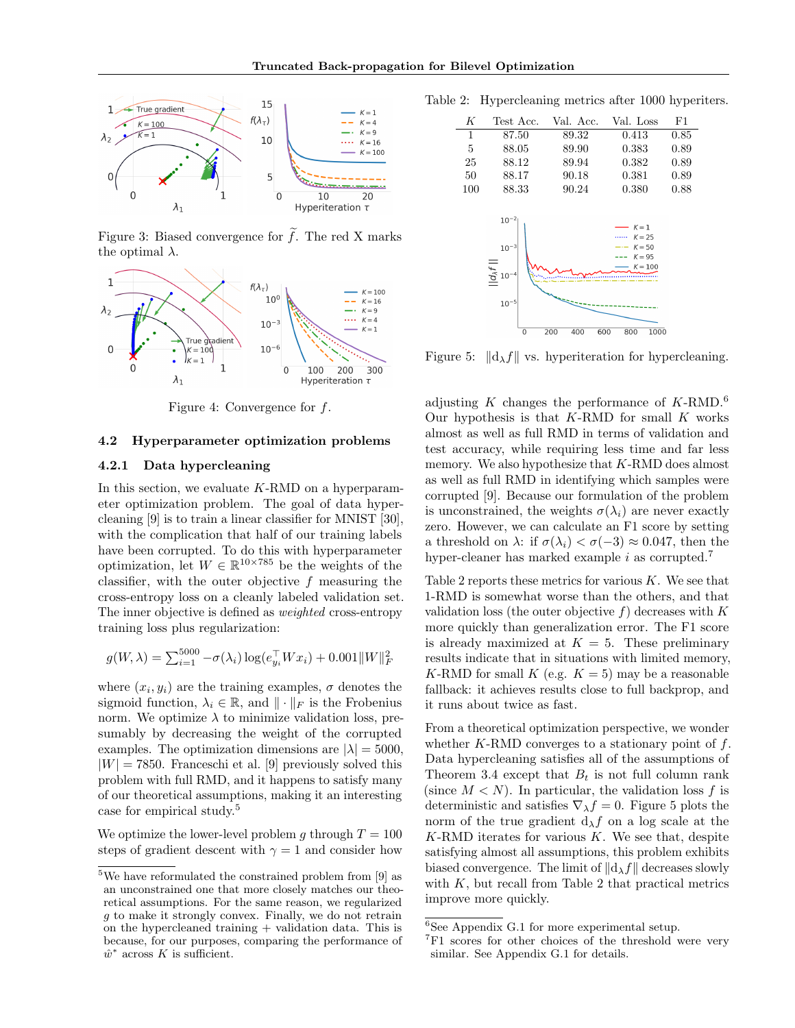

Figure 3: Biased convergence for  $f$ . The red X marks the optimal  $\lambda$ .



Figure 4: Convergence for  $f$ .

#### 4.2 Hyperparameter optimization problems

#### 4.2.1 Data hypercleaning

In this section, we evaluate  $K-RMD$  on a hyperparameter optimization problem. The goal of data hypercleaning [9] is to train a linear classifier for MNIST [30], with the complication that half of our training labels have been corrupted. To do this with hyperparameter optimization, let  $W \in \mathbb{R}^{10 \times 785}$  be the weights of the classifier, with the outer objective  $f$  measuring the cross-entropy loss on a cleanly labeled validation set. The inner objective is defined as weighted cross-entropy training loss plus regularization:

$$
g(W, \lambda) = \sum_{i=1}^{5000} -\sigma(\lambda_i) \log(e_{y_i}^{\top} W x_i) + 0.001 ||W||_F^2
$$

where  $(x_i, y_i)$  are the training examples,  $\sigma$  denotes the sigmoid function,  $\lambda_i \in \mathbb{R}$ , and  $\|\cdot\|_F$  is the Frobenius norm. We optimize  $\lambda$  to minimize validation loss, presumably by decreasing the weight of the corrupted examples. The optimization dimensions are  $|\lambda| = 5000$ ,  $|W| = 7850$ . Franceschi et al. [9] previously solved this problem with full RMD, and it happens to satisfy many of our theoretical assumptions, making it an interesting case for empirical study.<sup>5</sup>

We optimize the lower-level problem g through  $T = 100$ steps of gradient descent with  $\gamma = 1$  and consider how

Table 2: Hypercleaning metrics after 1000 hyperiters.

| К                                                                                           | Test Acc. | Val. Acc.                                                                                    | Val. Loss | F1   |
|---------------------------------------------------------------------------------------------|-----------|----------------------------------------------------------------------------------------------|-----------|------|
| 1                                                                                           | 87.50     | 89.32                                                                                        | 0.413     | 0.85 |
| 5                                                                                           | 88.05     | 89.90                                                                                        | 0.383     | 0.89 |
| 25                                                                                          | 88.12     | 89.94                                                                                        | 0.382     | 0.89 |
| 50                                                                                          | 88.17     | 90.18                                                                                        | 0.381     | 0.89 |
| 100                                                                                         | 88.33     | 90.24                                                                                        | 0.380     | 0.88 |
| $10^{-2}$<br>$10^{-3}$<br>$\frac{1}{\frac{1}{\sqrt{2}}}$ 10 <sup>-4</sup><br>$10^{-5}$<br>0 |           | $K = 1$<br>$K = 25$<br>$K = 50$<br>$K = 95$<br>$K = 100$<br>200<br>400<br>600<br>800<br>1000 |           |      |

Figure 5:  $\|\mathrm{d}_{\lambda}f\|$  vs. hyperiteration for hypercleaning.

adjusting K changes the performance of  $K$ -RMD.<sup>6</sup> Our hypothesis is that  $K$ -RMD for small  $K$  works almost as well as full RMD in terms of validation and test accuracy, while requiring less time and far less memory. We also hypothesize that K-RMD does almost as well as full RMD in identifying which samples were corrupted [9]. Because our formulation of the problem is unconstrained, the weights  $\sigma(\lambda_i)$  are never exactly zero. However, we can calculate an F1 score by setting a threshold on  $\lambda$ : if  $\sigma(\lambda_i) < \sigma(-3) \approx 0.047$ , then the hyper-cleaner has marked example  $i$  as corrupted.<sup>7</sup>

Table 2 reports these metrics for various  $K$ . We see that 1-RMD is somewhat worse than the others, and that validation loss (the outer objective  $f$ ) decreases with  $K$ more quickly than generalization error. The F1 score is already maximized at  $K = 5$ . These preliminary results indicate that in situations with limited memory, K-RMD for small K (e.g.  $K = 5$ ) may be a reasonable fallback: it achieves results close to full backprop, and it runs about twice as fast.

From a theoretical optimization perspective, we wonder whether  $K$ -RMD converges to a stationary point of  $f$ . Data hypercleaning satisfies all of the assumptions of Theorem 3.4 except that  $B_t$  is not full column rank (since  $M < N$ ). In particular, the validation loss f is deterministic and satisfies  $\nabla_{\lambda} f = 0$ . Figure 5 plots the norm of the true gradient  $d_{\lambda}f$  on a log scale at the  $K-RMD$  iterates for various  $K$ . We see that, despite satisfying almost all assumptions, this problem exhibits biased convergence. The limit of  $\|\mathrm{d}_{\lambda}f\|$  decreases slowly with  $K$ , but recall from Table 2 that practical metrics improve more quickly.

 $5$ We have reformulated the constrained problem from [9] as an unconstrained one that more closely matches our theoretical assumptions. For the same reason, we regularized g to make it strongly convex. Finally, we do not retrain on the hypercleaned training  $+$  validation data. This is because, for our purposes, comparing the performance of  $\hat{w}^*$  across K is sufficient.

 ${}^{6}$ See Appendix G.1 for more experimental setup.

<sup>&</sup>lt;sup>7</sup>F1 scores for other choices of the threshold were very similar. See Appendix G.1 for details.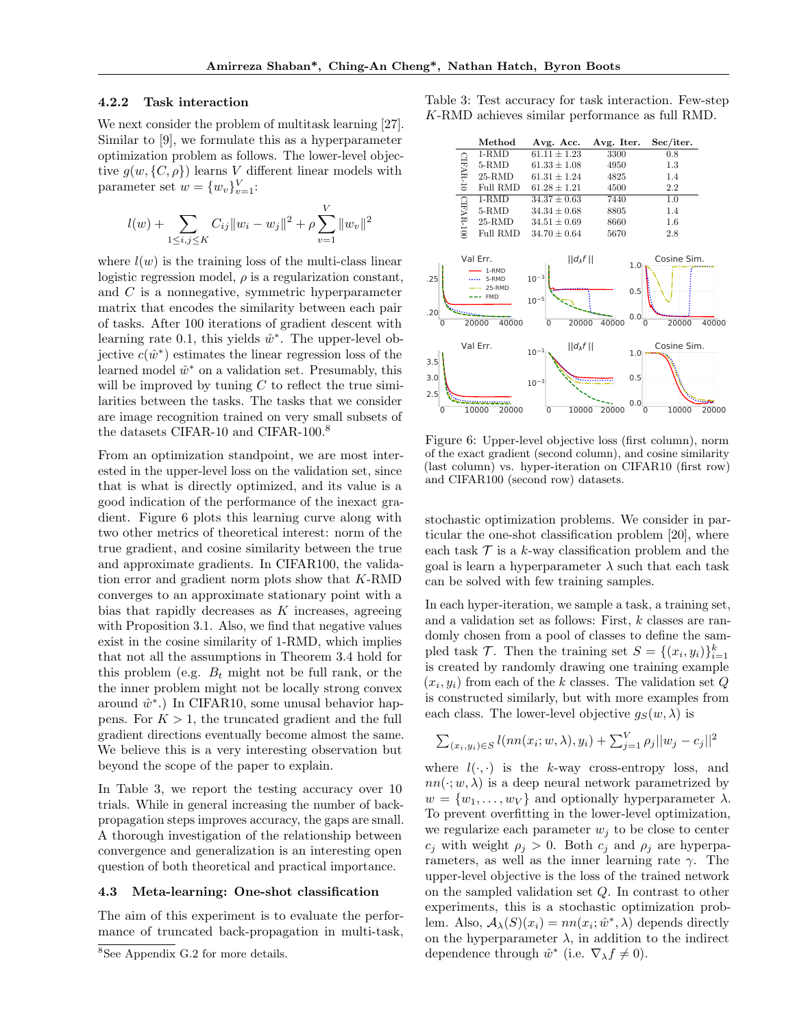#### 4.2.2 Task interaction

We next consider the problem of multitask learning [27]. Similar to [9], we formulate this as a hyperparameter optimization problem as follows. The lower-level objective  $g(w, \{C, \rho\})$  learns V different linear models with parameter set  $w = \{w_v\}_{v=1}^V$ :

$$
l(w) + \sum_{1 \leq i,j \leq K} C_{ij} ||w_i - w_j||^2 + \rho \sum_{v=1}^V ||w_v||^2
$$

where  $l(w)$  is the training loss of the multi-class linear logistic regression model,  $\rho$  is a regularization constant, and C is a nonnegative, symmetric hyperparameter matrix that encodes the similarity between each pair of tasks. After 100 iterations of gradient descent with learning rate 0.1, this yields  $\hat{w}^*$ . The upper-level objective  $c(\hat{w}^*)$  estimates the linear regression loss of the learned model  $\hat{w}^*$  on a validation set. Presumably, this will be improved by tuning  $C$  to reflect the true similarities between the tasks. The tasks that we consider are image recognition trained on very small subsets of the datasets CIFAR-10 and CIFAR-100.<sup>8</sup>

From an optimization standpoint, we are most interested in the upper-level loss on the validation set, since that is what is directly optimized, and its value is a good indication of the performance of the inexact gradient. Figure 6 plots this learning curve along with two other metrics of theoretical interest: norm of the true gradient, and cosine similarity between the true and approximate gradients. In CIFAR100, the validation error and gradient norm plots show that K-RMD converges to an approximate stationary point with a bias that rapidly decreases as  $K$  increases, agreeing with Proposition 3.1. Also, we find that negative values exist in the cosine similarity of 1-RMD, which implies that not all the assumptions in Theorem 3.4 hold for this problem (e.g.  $B_t$  might not be full rank, or the the inner problem might not be locally strong convex around  $\hat{w}^*$ .) In CIFAR10, some unusal behavior happens. For  $K > 1$ , the truncated gradient and the full gradient directions eventually become almost the same. We believe this is a very interesting observation but beyond the scope of the paper to explain.

In Table 3, we report the testing accuracy over 10 trials. While in general increasing the number of backpropagation steps improves accuracy, the gaps are small. A thorough investigation of the relationship between convergence and generalization is an interesting open question of both theoretical and practical importance.

### 4.3 Meta-learning: One-shot classification

The aim of this experiment is to evaluate the performance of truncated back-propagation in multi-task,

<sup>8</sup>See Appendix G.2 for more details.

Table 3: Test accuracy for task interaction. Few-step K-RMD achieves similar performance as full RMD.



Figure 6: Upper-level objective loss (first column), norm of the exact gradient (second column), and cosine similarity (last column) vs. hyper-iteration on CIFAR10 (first row) and CIFAR100 (second row) datasets.

stochastic optimization problems. We consider in particular the one-shot classification problem [20], where each task  $\mathcal T$  is a k-way classification problem and the goal is learn a hyperparameter  $\lambda$  such that each task can be solved with few training samples.

In each hyper-iteration, we sample a task, a training set, and a validation set as follows: First, k classes are randomly chosen from a pool of classes to define the sampled task  $\mathcal{T}$ . Then the training set  $S = \{(x_i, y_i)\}_{i=1}^k$ is created by randomly drawing one training example  $(x_i, y_i)$  from each of the k classes. The validation set Q is constructed similarly, but with more examples from each class. The lower-level objective  $g_S(w, \lambda)$  is

$$
\sum_{(x_i, y_i) \in S} l(nn(x_i; w, \lambda), y_i) + \sum_{j=1}^{V} \rho_j ||w_j - c_j||^2
$$

where  $l(\cdot, \cdot)$  is the k-way cross-entropy loss, and  $nn(\cdot; w, \lambda)$  is a deep neural network parametrized by  $w = \{w_1, \ldots, w_V\}$  and optionally hyperparameter  $\lambda$ . To prevent overfitting in the lower-level optimization, we regularize each parameter  $w_i$  to be close to center  $c_i$  with weight  $\rho_i > 0$ . Both  $c_i$  and  $\rho_i$  are hyperparameters, as well as the inner learning rate  $\gamma$ . The upper-level objective is the loss of the trained network on the sampled validation set Q. In contrast to other experiments, this is a stochastic optimization problem. Also,  $A_{\lambda}(S)(x_i) = nn(x_i; \hat{w}^*, \lambda)$  depends directly on the hyperparameter  $\lambda$ , in addition to the indirect dependence through  $\hat{w}^*$  (i.e.  $\nabla_{\lambda} f \neq 0$ ).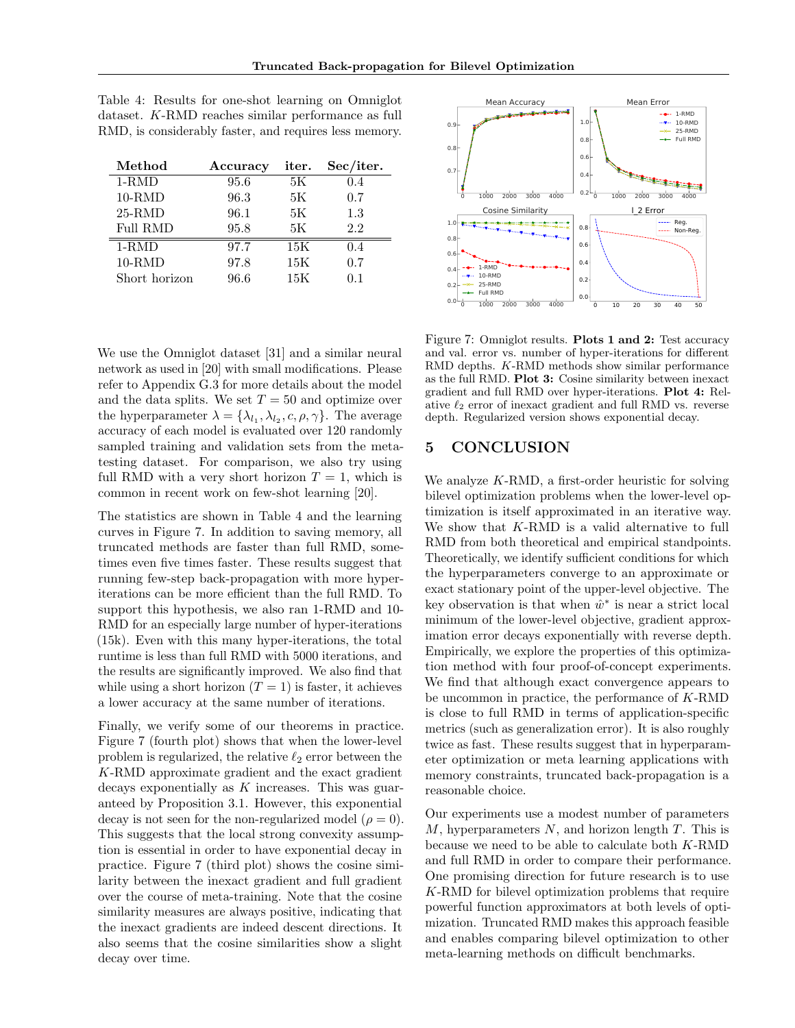| Method          | Accuracy | iter. | Sec/iter. |
|-----------------|----------|-------|-----------|
| $1-RMD$         | 95.6     | 5K    | 0.4       |
| $10-RMD$        | 96.3     | 5К    | 0.7       |
| $25-RMD$        | 96.1     | 5K    | 1.3       |
| <b>Full RMD</b> | 95.8     | 5K    | 2.2       |
| $1-RMD$         | 97.7     | 15K   | 0.4       |
| $10-RMD$        | 97.8     | 15K   | 0.7       |
| Short horizon   | 96.6     | 15K   | 0.1       |

Table 4: Results for one-shot learning on Omniglot dataset. K-RMD reaches similar performance as full RMD, is considerably faster, and requires less memory.

We use the Omniglot dataset [31] and a similar neural network as used in [20] with small modifications. Please refer to Appendix G.3 for more details about the model and the data splits. We set  $T = 50$  and optimize over the hyperparameter  $\lambda = {\lambda_{l_1}, \lambda_{l_2}, c, \rho, \gamma}.$  The average accuracy of each model is evaluated over 120 randomly sampled training and validation sets from the metatesting dataset. For comparison, we also try using full RMD with a very short horizon  $T = 1$ , which is common in recent work on few-shot learning [20].

The statistics are shown in Table 4 and the learning curves in Figure 7. In addition to saving memory, all truncated methods are faster than full RMD, sometimes even five times faster. These results suggest that running few-step back-propagation with more hyperiterations can be more efficient than the full RMD. To support this hypothesis, we also ran 1-RMD and 10- RMD for an especially large number of hyper-iterations (15k). Even with this many hyper-iterations, the total runtime is less than full RMD with 5000 iterations, and the results are significantly improved. We also find that while using a short horizon  $(T = 1)$  is faster, it achieves a lower accuracy at the same number of iterations.

Finally, we verify some of our theorems in practice. Figure 7 (fourth plot) shows that when the lower-level problem is regularized, the relative  $\ell_2$  error between the K-RMD approximate gradient and the exact gradient decays exponentially as K increases. This was guaranteed by Proposition 3.1. However, this exponential decay is not seen for the non-regularized model ( $\rho = 0$ ). This suggests that the local strong convexity assumption is essential in order to have exponential decay in practice. Figure 7 (third plot) shows the cosine similarity between the inexact gradient and full gradient over the course of meta-training. Note that the cosine similarity measures are always positive, indicating that the inexact gradients are indeed descent directions. It also seems that the cosine similarities show a slight decay over time.



Figure 7: Omniglot results. Plots 1 and 2: Test accuracy and val. error vs. number of hyper-iterations for different RMD depths. K-RMD methods show similar performance as the full RMD. Plot 3: Cosine similarity between inexact gradient and full RMD over hyper-iterations. Plot 4: Relative  $\ell_2$  error of inexact gradient and full RMD vs. reverse depth. Regularized version shows exponential decay.

# 5 CONCLUSION

We analyze  $K-RMD$ , a first-order heuristic for solving bilevel optimization problems when the lower-level optimization is itself approximated in an iterative way. We show that K-RMD is a valid alternative to full RMD from both theoretical and empirical standpoints. Theoretically, we identify sufficient conditions for which the hyperparameters converge to an approximate or exact stationary point of the upper-level objective. The key observation is that when  $\hat{w}^*$  is near a strict local minimum of the lower-level objective, gradient approximation error decays exponentially with reverse depth. Empirically, we explore the properties of this optimization method with four proof-of-concept experiments. We find that although exact convergence appears to be uncommon in practice, the performance of K-RMD is close to full RMD in terms of application-specific metrics (such as generalization error). It is also roughly twice as fast. These results suggest that in hyperparameter optimization or meta learning applications with memory constraints, truncated back-propagation is a reasonable choice.

Our experiments use a modest number of parameters  $M$ , hyperparameters  $N$ , and horizon length  $T$ . This is because we need to be able to calculate both K-RMD and full RMD in order to compare their performance. One promising direction for future research is to use K-RMD for bilevel optimization problems that require powerful function approximators at both levels of optimization. Truncated RMD makes this approach feasible and enables comparing bilevel optimization to other meta-learning methods on difficult benchmarks.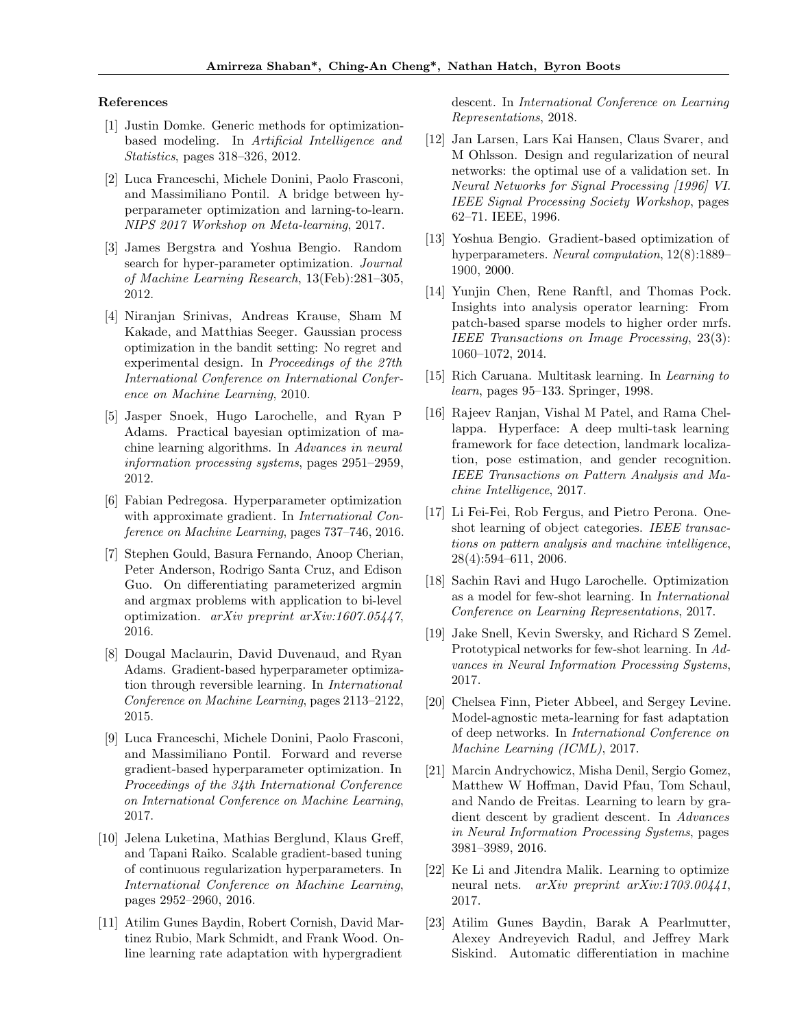#### References

- [1] Justin Domke. Generic methods for optimizationbased modeling. In Artificial Intelligence and Statistics, pages 318–326, 2012.
- [2] Luca Franceschi, Michele Donini, Paolo Frasconi, and Massimiliano Pontil. A bridge between hyperparameter optimization and larning-to-learn. NIPS 2017 Workshop on Meta-learning, 2017.
- [3] James Bergstra and Yoshua Bengio. Random search for hyper-parameter optimization. Journal of Machine Learning Research, 13(Feb):281–305, 2012.
- [4] Niranjan Srinivas, Andreas Krause, Sham M Kakade, and Matthias Seeger. Gaussian process optimization in the bandit setting: No regret and experimental design. In Proceedings of the 27th International Conference on International Conference on Machine Learning, 2010.
- [5] Jasper Snoek, Hugo Larochelle, and Ryan P Adams. Practical bayesian optimization of machine learning algorithms. In Advances in neural information processing systems, pages 2951–2959, 2012.
- [6] Fabian Pedregosa. Hyperparameter optimization with approximate gradient. In *International Con*ference on Machine Learning, pages 737–746, 2016.
- [7] Stephen Gould, Basura Fernando, Anoop Cherian, Peter Anderson, Rodrigo Santa Cruz, and Edison Guo. On differentiating parameterized argmin and argmax problems with application to bi-level optimization. arXiv preprint arXiv:1607.05447, 2016.
- [8] Dougal Maclaurin, David Duvenaud, and Ryan Adams. Gradient-based hyperparameter optimization through reversible learning. In International Conference on Machine Learning, pages 2113–2122, 2015.
- [9] Luca Franceschi, Michele Donini, Paolo Frasconi, and Massimiliano Pontil. Forward and reverse gradient-based hyperparameter optimization. In Proceedings of the 34th International Conference on International Conference on Machine Learning, 2017.
- [10] Jelena Luketina, Mathias Berglund, Klaus Greff, and Tapani Raiko. Scalable gradient-based tuning of continuous regularization hyperparameters. In International Conference on Machine Learning, pages 2952–2960, 2016.
- [11] Atilim Gunes Baydin, Robert Cornish, David Martinez Rubio, Mark Schmidt, and Frank Wood. Online learning rate adaptation with hypergradient

descent. In International Conference on Learning Representations, 2018.

- [12] Jan Larsen, Lars Kai Hansen, Claus Svarer, and M Ohlsson. Design and regularization of neural networks: the optimal use of a validation set. In Neural Networks for Signal Processing [1996] VI. IEEE Signal Processing Society Workshop, pages 62–71. IEEE, 1996.
- [13] Yoshua Bengio. Gradient-based optimization of hyperparameters. Neural computation,  $12(8)$ :1889– 1900, 2000.
- [14] Yunjin Chen, Rene Ranftl, and Thomas Pock. Insights into analysis operator learning: From patch-based sparse models to higher order mrfs. IEEE Transactions on Image Processing, 23(3): 1060–1072, 2014.
- [15] Rich Caruana. Multitask learning. In Learning to learn, pages 95–133. Springer, 1998.
- [16] Rajeev Ranjan, Vishal M Patel, and Rama Chellappa. Hyperface: A deep multi-task learning framework for face detection, landmark localization, pose estimation, and gender recognition. IEEE Transactions on Pattern Analysis and Machine Intelligence, 2017.
- [17] Li Fei-Fei, Rob Fergus, and Pietro Perona. Oneshot learning of object categories. IEEE transactions on pattern analysis and machine intelligence, 28(4):594–611, 2006.
- [18] Sachin Ravi and Hugo Larochelle. Optimization as a model for few-shot learning. In International Conference on Learning Representations, 2017.
- [19] Jake Snell, Kevin Swersky, and Richard S Zemel. Prototypical networks for few-shot learning. In Advances in Neural Information Processing Systems, 2017.
- [20] Chelsea Finn, Pieter Abbeel, and Sergey Levine. Model-agnostic meta-learning for fast adaptation of deep networks. In International Conference on Machine Learning (ICML), 2017.
- [21] Marcin Andrychowicz, Misha Denil, Sergio Gomez, Matthew W Hoffman, David Pfau, Tom Schaul, and Nando de Freitas. Learning to learn by gradient descent by gradient descent. In Advances in Neural Information Processing Systems, pages 3981–3989, 2016.
- [22] Ke Li and Jitendra Malik. Learning to optimize neural nets. arXiv preprint arXiv:1703.00441, 2017.
- [23] Atilim Gunes Baydin, Barak A Pearlmutter, Alexey Andreyevich Radul, and Jeffrey Mark Siskind. Automatic differentiation in machine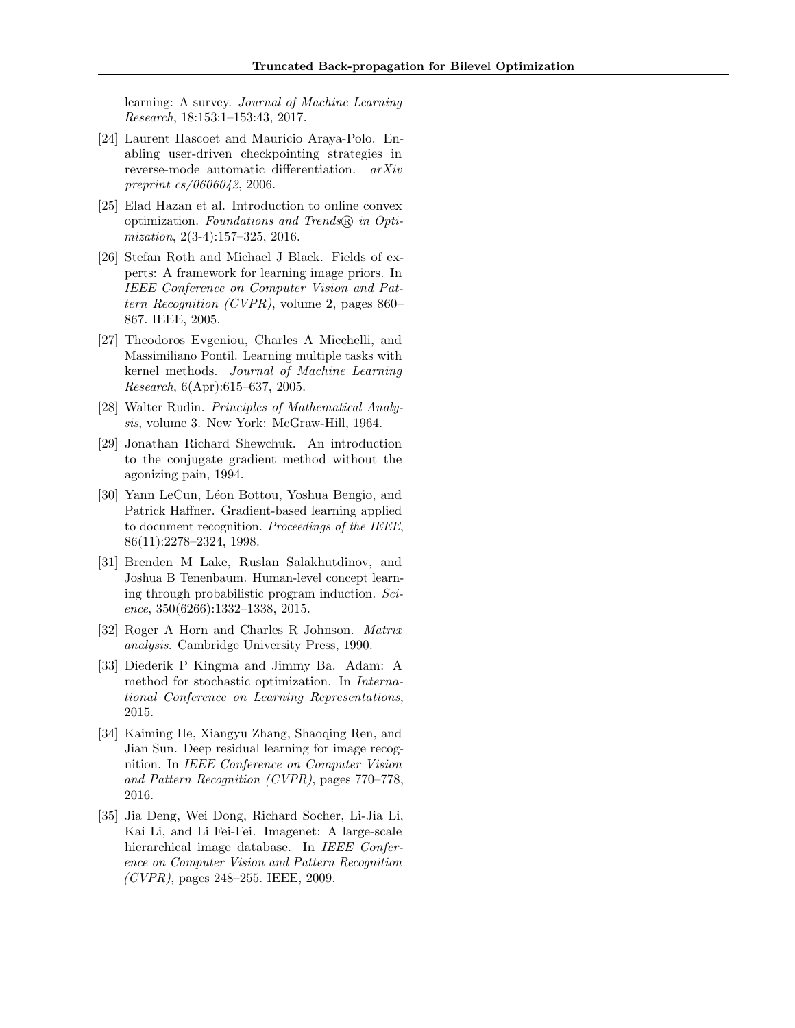learning: A survey. Journal of Machine Learning Research, 18:153:1–153:43, 2017.

- [24] Laurent Hascoet and Mauricio Araya-Polo. Enabling user-driven checkpointing strategies in reverse-mode automatic differentiation. arXiv preprint cs/0606042, 2006.
- [25] Elad Hazan et al. Introduction to online convex optimization. Foundations and Trends <sup>R</sup> in Optimization, 2(3-4):157–325, 2016.
- [26] Stefan Roth and Michael J Black. Fields of experts: A framework for learning image priors. In IEEE Conference on Computer Vision and Pattern Recognition (CVPR), volume 2, pages 860– 867. IEEE, 2005.
- [27] Theodoros Evgeniou, Charles A Micchelli, and Massimiliano Pontil. Learning multiple tasks with kernel methods. Journal of Machine Learning Research, 6(Apr):615–637, 2005.
- [28] Walter Rudin. Principles of Mathematical Analysis, volume 3. New York: McGraw-Hill, 1964.
- [29] Jonathan Richard Shewchuk. An introduction to the conjugate gradient method without the agonizing pain, 1994.
- [30] Yann LeCun, Léon Bottou, Yoshua Bengio, and Patrick Haffner. Gradient-based learning applied to document recognition. Proceedings of the IEEE, 86(11):2278–2324, 1998.
- [31] Brenden M Lake, Ruslan Salakhutdinov, and Joshua B Tenenbaum. Human-level concept learning through probabilistic program induction. Science, 350(6266):1332–1338, 2015.
- [32] Roger A Horn and Charles R Johnson. Matrix analysis. Cambridge University Press, 1990.
- [33] Diederik P Kingma and Jimmy Ba. Adam: A method for stochastic optimization. In International Conference on Learning Representations, 2015.
- [34] Kaiming He, Xiangyu Zhang, Shaoqing Ren, and Jian Sun. Deep residual learning for image recognition. In IEEE Conference on Computer Vision and Pattern Recognition (CVPR), pages 770–778, 2016.
- [35] Jia Deng, Wei Dong, Richard Socher, Li-Jia Li, Kai Li, and Li Fei-Fei. Imagenet: A large-scale hierarchical image database. In IEEE Conference on Computer Vision and Pattern Recognition  $(CVPR)$ , pages 248–255. IEEE, 2009.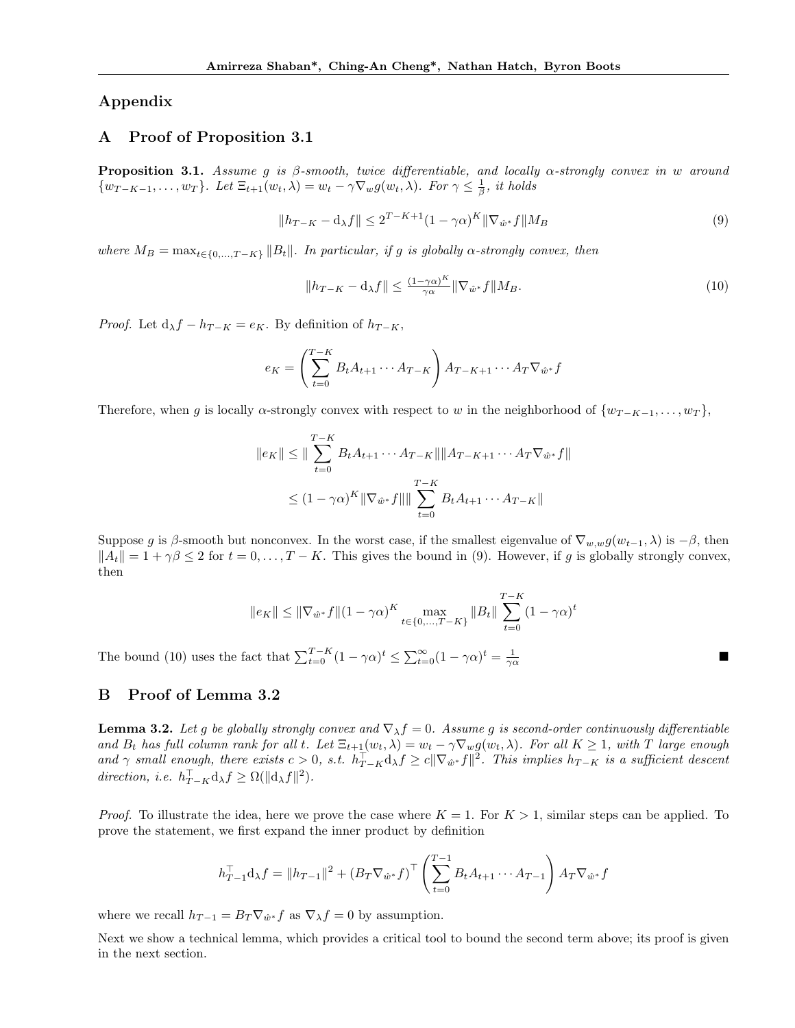### Appendix

### A Proof of Proposition 3.1

**Proposition 3.1.** Assume g is  $\beta$ -smooth, twice differentiable, and locally  $\alpha$ -strongly convex in w around  $\{w_{T-K-1}, \ldots, w_T\}$ . Let  $\Xi_{t+1}(w_t, \lambda) = w_t - \gamma \nabla_w g(w_t, \lambda)$ . For  $\gamma \leq \frac{1}{\beta}$ , it holds

$$
||h_{T-K} - \mathbf{d}_{\lambda}f|| \le 2^{T-K+1}(1 - \gamma \alpha)^K ||\nabla_{\hat{w}^*}f||M_B
$$
\n(9)

where  $M_B = \max_{t \in \{0, ..., T-K\}} ||B_t||$ . In particular, if g is globally  $\alpha$ -strongly convex, then

$$
||h_{T-K} - \mathbf{d}_{\lambda}f|| \le \frac{(1-\gamma\alpha)^K}{\gamma\alpha} ||\nabla_{\hat{w}^*}f||M_B.
$$
\n
$$
(10)
$$

■

*Proof.* Let  $d_{\lambda}f - h_{T-K} = e_K$ . By definition of  $h_{T-K}$ ,

$$
e_K = \left(\sum_{t=0}^{T-K} B_t A_{t+1} \cdots A_{T-K}\right) A_{T-K+1} \cdots A_T \nabla_{\hat{w}^*} f
$$

Therefore, when g is locally  $\alpha$ -strongly convex with respect to w in the neighborhood of  $\{w_{T-K-1}, \ldots, w_T\}$ ,

$$
||e_K|| \le ||\sum_{t=0}^{T-K} B_t A_{t+1} \cdots A_{T-K}|| ||A_{T-K+1} \cdots A_T \nabla_{\hat{w}^*} f||
$$
  

$$
\le (1 - \gamma \alpha)^K ||\nabla_{\hat{w}^*} f|| || \sum_{t=0}^{T-K} B_t A_{t+1} \cdots A_{T-K} ||
$$

Suppose g is β-smooth but nonconvex. In the worst case, if the smallest eigenvalue of  $\nabla_{w,w} g(w_{t-1},\lambda)$  is  $-\beta$ , then  $||A_t|| = 1 + \gamma \beta \le 2$  for  $t = 0, \ldots, T - K$ . This gives the bound in (9). However, if g is globally strongly convex, then

$$
||e_K|| \le ||\nabla_{\hat{w}^*} f|| (1 - \gamma \alpha)^K \max_{t \in \{0, ..., T - K\}} ||B_t|| \sum_{t=0}^{T-K} (1 - \gamma \alpha)^t
$$

The bound (10) uses the fact that  $\sum_{t=0}^{T-K} (1 - \gamma \alpha)^t \leq \sum_{t=0}^{\infty} (1 - \gamma \alpha)^t = \frac{1}{\gamma \alpha}$ 

# B Proof of Lemma 3.2

**Lemma 3.2.** Let g be globally strongly convex and  $\nabla_{\lambda} f = 0$ . Assume g is second-order continuously differentiable and  $B_t$  has full column rank for all t. Let  $\Xi_{t+1}(w_t, \lambda) = w_t - \gamma \nabla_w g(w_t, \lambda)$ . For all  $K \geq 1$ , with T large enough and  $\gamma$  small enough, there exists  $c > 0$ , s.t.  $h_{T-K}^{\top} d\lambda f \geq c ||\nabla_{\hat{w}^*} f||^2$ . This implies  $h_{T-K}$  is a sufficient descent direction, i.e.  $h_{T-K}^{\top} d_{\lambda} f \geq \Omega(\|\mathbf{d}_{\lambda} f\|^2).$ 

*Proof.* To illustrate the idea, here we prove the case where  $K = 1$ . For  $K > 1$ , similar steps can be applied. To prove the statement, we first expand the inner product by definition

$$
h_{T-1}^{\top} \mathbf{d}_{\lambda} f = ||h_{T-1}||^2 + (B_T \nabla_{\hat{w}^*} f)^{\top} \left( \sum_{t=0}^{T-1} B_t A_{t+1} \cdots A_{T-1} \right) A_T \nabla_{\hat{w}^*} f
$$

where we recall  $h_{T-1} = B_T \nabla_{\hat{w}^*} f$  as  $\nabla_{\lambda} f = 0$  by assumption.

Next we show a technical lemma, which provides a critical tool to bound the second term above; its proof is given in the next section.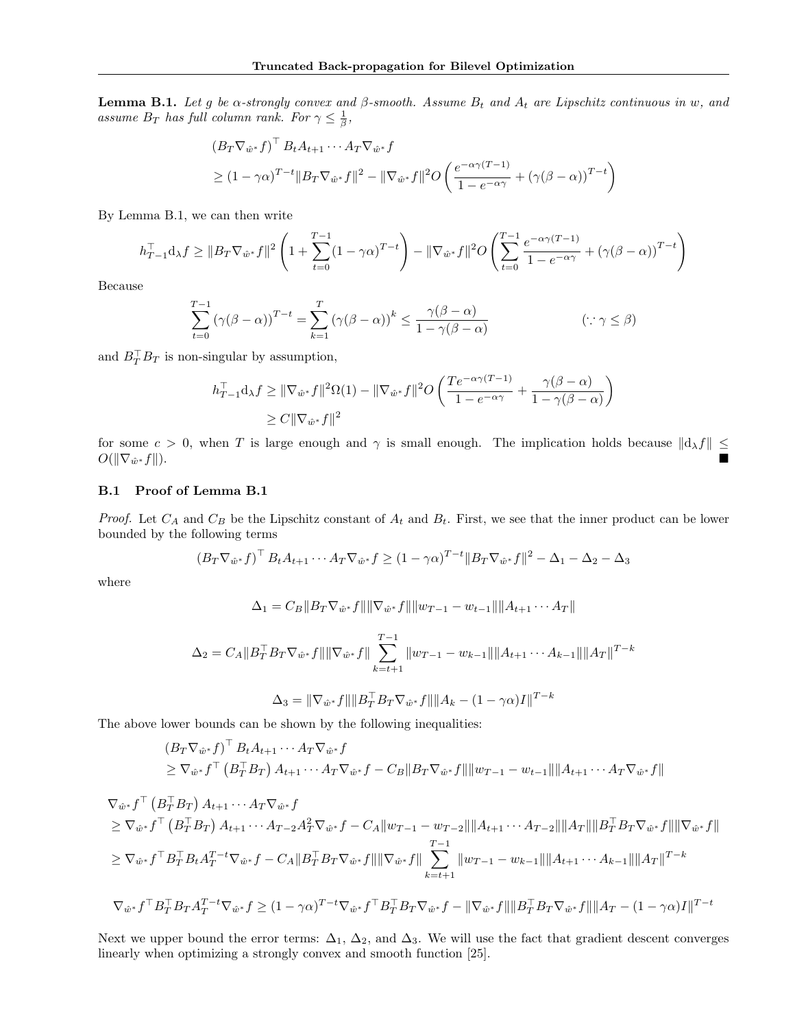**Lemma B.1.** Let g be  $\alpha$ -strongly convex and  $\beta$ -smooth. Assume  $B_t$  and  $A_t$  are Lipschitz continuous in w, and assume  $B_T$  has full column rank. For  $\gamma \leq \frac{1}{\beta}$ ,

$$
(B_T \nabla_{\hat{w}^*} f)^{\top} B_t A_{t+1} \cdots A_T \nabla_{\hat{w}^*} f
$$
  
\n
$$
\geq (1 - \gamma \alpha)^{T-t} \|B_T \nabla_{\hat{w}^*} f\|^2 - \|\nabla_{\hat{w}^*} f\|^2 O\left(\frac{e^{-\alpha \gamma (T-t)}}{1 - e^{-\alpha \gamma}} + (\gamma (\beta - \alpha))^{T-t}\right)
$$

By Lemma B.1, we can then write

$$
h_{T-1}^{\top} \mathbf{d}_{\lambda} f \geq \|B_T \nabla_{\hat{w}^*} f\|^2 \left(1 + \sum_{t=0}^{T-1} (1 - \gamma \alpha)^{T-t}\right) - \|\nabla_{\hat{w}^*} f\|^2 O\left(\sum_{t=0}^{T-1} \frac{e^{-\alpha \gamma (T-t)}}{1 - e^{-\alpha \gamma}} + (\gamma (\beta - \alpha))^{T-t}\right)
$$

Because

$$
\sum_{t=0}^{T-1} (\gamma(\beta - \alpha))^{T-t} = \sum_{k=1}^{T} (\gamma(\beta - \alpha))^{k} \le \frac{\gamma(\beta - \alpha)}{1 - \gamma(\beta - \alpha)}
$$
 (\because  $\gamma \le \beta$ )

and  $B_T^{\top} B_T$  is non-singular by assumption,

$$
h_{T-1}^{\top} \mathbf{d}_{\lambda} f \geq \|\nabla_{\hat{w}^*} f\|^2 \Omega(1) - \|\nabla_{\hat{w}^*} f\|^2 O\left(\frac{Te^{-\alpha \gamma (T-1)}}{1 - e^{-\alpha \gamma}} + \frac{\gamma(\beta - \alpha)}{1 - \gamma(\beta - \alpha)}\right)
$$
  

$$
\geq C \|\nabla_{\hat{w}^*} f\|^2
$$

for some  $c > 0$ , when T is large enough and  $\gamma$  is small enough. The implication holds because  $||d_{\lambda}f|| \le$  $O(||\nabla_{\hat{w}^*}f||).$  $* f \|$ ).

### B.1 Proof of Lemma B.1

*Proof.* Let  $C_A$  and  $C_B$  be the Lipschitz constant of  $A_t$  and  $B_t$ . First, we see that the inner product can be lower bounded by the following terms

$$
(B_T \nabla_{\hat{w}^*} f)^\top B_t A_{t+1} \cdots A_T \nabla_{\hat{w}^*} f \ge (1 - \gamma \alpha)^{T-t} \|B_T \nabla_{\hat{w}^*} f\|^2 - \Delta_1 - \Delta_2 - \Delta_3
$$

where

$$
\Delta_1 = C_B ||B_T \nabla_{\hat{w}^*} f|| ||\nabla_{\hat{w}^*} f|| ||w_{T-1} - w_{t-1}|| ||A_{t+1} \cdots A_T||
$$

$$
\Delta_2 = C_A \|B_T^{\top} B_T \nabla_{\hat{w}^*} f\| \|\nabla_{\hat{w}^*} f\| \sum_{k=t+1}^{T-1} \|w_{T-1} - w_{k-1}\| \|A_{t+1} \cdots A_{k-1}\| \|A_T\|^{T-k}
$$
  

$$
\Delta_3 = \|\nabla_{\hat{w}^*} f\| \|B_T^{\top} B_T \nabla_{\hat{w}^*} f\| \|A_k - (1 - \gamma \alpha) I\|^{T-k}
$$

The above lower bounds can be shown by the following inequalities:

$$
(B_T \nabla_{\hat{w}^*} f)^{\top} B_t A_{t+1} \cdots A_T \nabla_{\hat{w}^*} f
$$
  
\n
$$
\geq \nabla_{\hat{w}^*} f^{\top} (B_T^{\top} B_T) A_{t+1} \cdots A_T \nabla_{\hat{w}^*} f - C_B \|B_T \nabla_{\hat{w}^*} f\| \|w_{T-1} - w_{t-1}\| \|A_{t+1} \cdots A_T \nabla_{\hat{w}^*} f\|
$$

$$
\nabla_{\hat{w}^*} f^{\top} (B_T^{\top} B_T) A_{t+1} \cdots A_T \nabla_{\hat{w}^*} f
$$
\n
$$
\geq \nabla_{\hat{w}^*} f^{\top} (B_T^{\top} B_T) A_{t+1} \cdots A_{T-2} A_T^2 \nabla_{\hat{w}^*} f - C_A \|w_{T-1} - w_{T-2}\| \|A_{t+1} \cdots A_{T-2}\| \|A_T\| \|B_T^{\top} B_T \nabla_{\hat{w}^*} f\| \| \nabla_{\hat{w}^*} f\|
$$
\n
$$
\geq \nabla_{\hat{w}^*} f^{\top} B_T^{\top} B_t A_T^{T-t} \nabla_{\hat{w}^*} f - C_A \|B_T^{\top} B_T \nabla_{\hat{w}^*} f\| \| \nabla_{\hat{w}^*} f\| \sum_{k=t+1}^{T-1} \|w_{T-1} - w_{k-1}\| \|A_{t+1} \cdots A_{k-1}\| \|A_T\|^{T-k}
$$
\n
$$
\nabla_{\hat{w}^*} f^{\top} B_T^{\top} B_T A_T^{T-t} \nabla_{\hat{w}^*} f \geq (1 - \gamma \alpha)^{T-t} \nabla_{\hat{w}^*} f^{\top} B_T^{\top} B_T \nabla_{\hat{w}^*} f - \|\nabla_{\hat{w}^*} f\| \|B_T^{\top} B_T \nabla_{\hat{w}^*} f\| \|A_T - (1 - \gamma \alpha) I\|^{T-t}
$$

Next we upper bound the error terms:  $\Delta_1$ ,  $\Delta_2$ , and  $\Delta_3$ . We will use the fact that gradient descent converges linearly when optimizing a strongly convex and smooth function [25].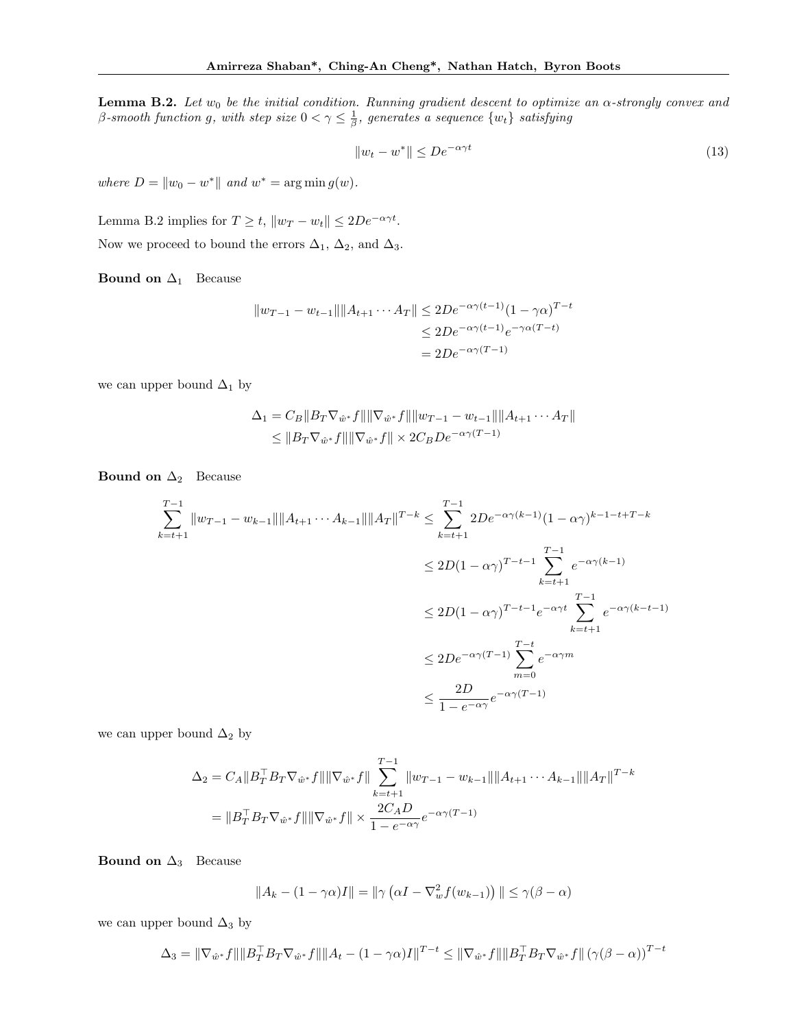**Lemma B.2.** Let  $w_0$  be the initial condition. Running gradient descent to optimize an  $\alpha$ -strongly convex and  $\beta$ -smooth function g, with step size  $0 < \gamma \leq \frac{1}{\beta}$ , generates a sequence  $\{w_t\}$  satisfying

$$
||w_t - w^*|| \le De^{-\alpha \gamma t}
$$
\n<sup>(13)</sup>

where  $D = ||w_0 - w^*||$  and  $w^* = \arg \min g(w)$ .

Lemma B.2 implies for  $T \ge t$ ,  $||w_T - w_t|| \le 2De^{-\alpha \gamma t}$ . Now we proceed to bound the errors  $\Delta_1$ ,  $\Delta_2$ , and  $\Delta_3$ .

Bound on  $\Delta_1$  Because

$$
||w_{T-1} - w_{t-1}|| ||A_{t+1} \cdots A_T|| \le 2De^{-\alpha \gamma(t-1)} (1 - \gamma \alpha)^{T-t}
$$
  

$$
\le 2De^{-\alpha \gamma(t-1)} e^{-\gamma \alpha (T-t)}
$$
  

$$
= 2De^{-\alpha \gamma (T-1)}
$$

we can upper bound  $\Delta_1$  by

$$
\Delta_1 = C_B ||B_T \nabla_{\hat{w}^*} f|| ||\nabla_{\hat{w}^*} f|| ||w_{T-1} - w_{t-1}|| ||A_{t+1} \cdots A_T||
$$
  
\n
$$
\leq ||B_T \nabla_{\hat{w}^*} f|| ||\nabla_{\hat{w}^*} f|| \times 2C_B De^{-\alpha \gamma (T-1)}
$$

**Bound on**  $\Delta_2$  Because

$$
\sum_{k=t+1}^{T-1} \|w_{T-1} - w_{k-1}\| \|A_{t+1} \cdots A_{k-1}\| \|A_T\|^{T-k} \le \sum_{k=t+1}^{T-1} 2De^{-\alpha\gamma(k-1)} (1 - \alpha\gamma)^{k-1-t+T-k}
$$
  

$$
\le 2D(1 - \alpha\gamma)^{T-t-1} \sum_{k=t+1}^{T-1} e^{-\alpha\gamma(k-1)}
$$
  

$$
\le 2D(1 - \alpha\gamma)^{T-t-1} e^{-\alpha\gamma t} \sum_{k=t+1}^{T-1} e^{-\alpha\gamma(k-t-1)}
$$
  

$$
\le 2De^{-\alpha\gamma(T-1)} \sum_{m=0}^{T-t} e^{-\alpha\gamma m}
$$
  

$$
\le \frac{2D}{1 - e^{-\alpha\gamma}} e^{-\alpha\gamma(T-1)}
$$

we can upper bound  $\Delta_2$  by

$$
\Delta_2 = C_A ||B_T^\top B_T \nabla_{\hat{w}^*} f|| ||\nabla_{\hat{w}^*} f|| \sum_{k=t+1}^{T-1} ||w_{T-1} - w_{k-1}|| ||A_{t+1} \cdots A_{k-1}|| ||A_T||^{T-k}
$$
  
=  $||B_T^\top B_T \nabla_{\hat{w}^*} f|| ||\nabla_{\hat{w}^*} f|| \times \frac{2C_A D}{1 - e^{-\alpha \gamma}} e^{-\alpha \gamma (T-1)}$ 

Bound on  $\Delta_3$  Because

$$
||A_k - (1 - \gamma \alpha)I|| = ||\gamma (\alpha I - \nabla_w^2 f(w_{k-1}))|| \le \gamma (\beta - \alpha)
$$

we can upper bound  $\Delta_3$  by

$$
\Delta_3 = \|\nabla_{\hat{w}^*} f\| \|B_T^\top B_T \nabla_{\hat{w}^*} f\| \|A_t - (1 - \gamma \alpha) I\|^{T-t} \le \|\nabla_{\hat{w}^*} f\| \|B_T^\top B_T \nabla_{\hat{w}^*} f\| \left(\gamma (\beta - \alpha)\right)^{T-t}
$$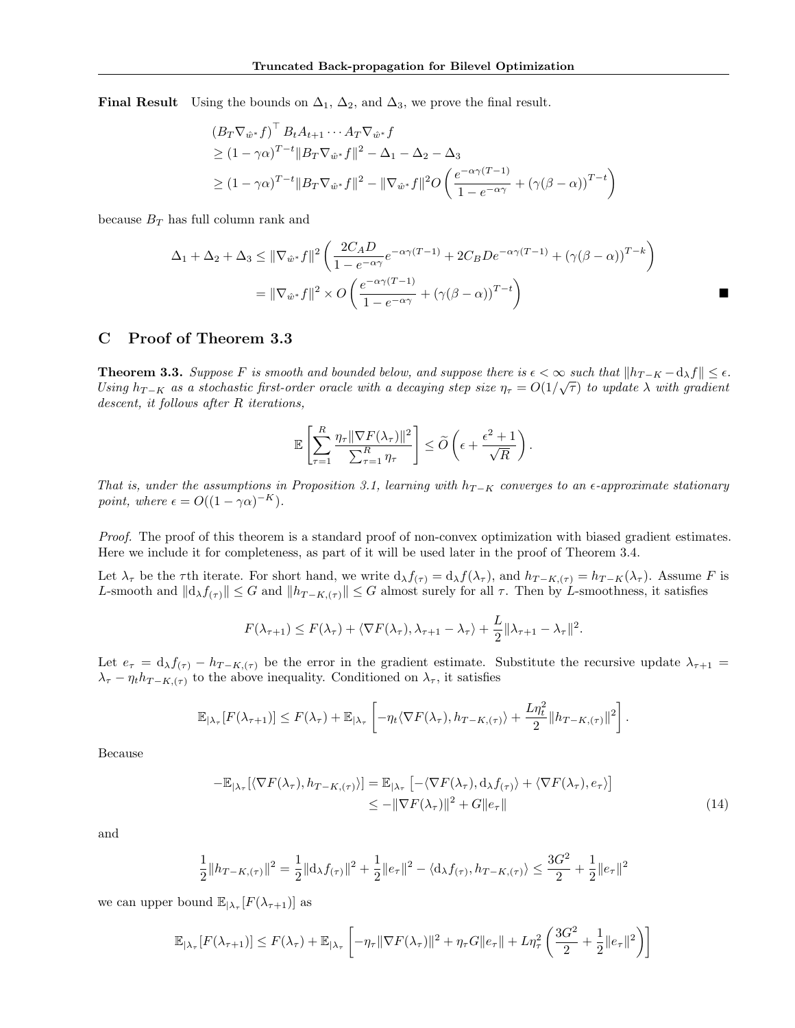Final Result Using the bounds on  $\Delta_1$ ,  $\Delta_2$ , and  $\Delta_3$ , we prove the final result.

$$
(B_T \nabla_{\hat{w}^*} f)^\top B_t A_{t+1} \cdots A_T \nabla_{\hat{w}^*} f
$$
  
\n
$$
\geq (1 - \gamma \alpha)^{T-t} \|B_T \nabla_{\hat{w}^*} f\|^2 - \Delta_1 - \Delta_2 - \Delta_3
$$
  
\n
$$
\geq (1 - \gamma \alpha)^{T-t} \|B_T \nabla_{\hat{w}^*} f\|^2 - \|\nabla_{\hat{w}^*} f\|^2 O\left(\frac{e^{-\alpha \gamma (T-1)}}{1 - e^{-\alpha \gamma}} + (\gamma (\beta - \alpha))^{T-t}\right)
$$

because  $B_T$  has full column rank and

$$
\Delta_1 + \Delta_2 + \Delta_3 \le ||\nabla_{\hat{w}^*} f||^2 \left( \frac{2C_A D}{1 - e^{-\alpha \gamma}} e^{-\alpha \gamma (T - 1)} + 2C_B D e^{-\alpha \gamma (T - 1)} + (\gamma (\beta - \alpha))^{T - k} \right)
$$
  
= 
$$
||\nabla_{\hat{w}^*} f||^2 \times O \left( \frac{e^{-\alpha \gamma (T - 1)}}{1 - e^{-\alpha \gamma}} + (\gamma (\beta - \alpha))^{T - t} \right)
$$

### C Proof of Theorem 3.3

**Theorem 3.3.** Suppose F is smooth and bounded below, and suppose there is  $\epsilon < \infty$  such that  $||h_{T-K} - d_{\lambda}f|| \leq \epsilon$ . Using  $h_{T-K}$  as a stochastic first-order oracle with a decaying step size  $\eta_{\tau} = O(1/\sqrt{\tau})$  to update  $\lambda$  with gradient descent, it follows after R iterations,

$$
\mathbb{E}\left[\sum_{\tau=1}^R \frac{\eta_\tau \|\nabla F(\lambda_\tau)\|^2}{\sum_{\tau=1}^R \eta_\tau}\right] \le \widetilde{O}\left(\epsilon + \frac{\epsilon^2 + 1}{\sqrt{R}}\right).
$$

That is, under the assumptions in Proposition 3.1, learning with  $h_{T-K}$  converges to an  $\epsilon$ -approximate stationary point, where  $\epsilon = O((1 - \gamma \alpha)^{-K}).$ 

Proof. The proof of this theorem is a standard proof of non-convex optimization with biased gradient estimates. Here we include it for completeness, as part of it will be used later in the proof of Theorem 3.4.

Let  $\lambda_{\tau}$  be the  $\tau$ th iterate. For short hand, we write  $d_{\lambda} f_{(\tau)} = d_{\lambda} f_{(\lambda_{\tau})}$ , and  $h_{T-K,(\tau)} = h_{T-K}(\lambda_{\tau})$ . Assume F is L-smooth and  $||d_{\lambda}f_{(\tau)}|| \leq G$  and  $||h_{T-K,(\tau)}|| \leq G$  almost surely for all  $\tau$ . Then by L-smoothness, it satisfies

$$
F(\lambda_{\tau+1}) \leq F(\lambda_{\tau}) + \langle \nabla F(\lambda_{\tau}), \lambda_{\tau+1} - \lambda_{\tau} \rangle + \frac{L}{2} ||\lambda_{\tau+1} - \lambda_{\tau}||^2.
$$

Let  $e_{\tau} = d_{\lambda} f_{(\tau)} - h_{T-K,(\tau)}$  be the error in the gradient estimate. Substitute the recursive update  $\lambda_{\tau+1}$  $\lambda_{\tau} - \eta_t h_{T-K,(\tau)}$  to the above inequality. Conditioned on  $\lambda_{\tau}$ , it satisfies

$$
\mathbb{E}_{|\lambda_{\tau}}[F(\lambda_{\tau+1})] \leq F(\lambda_{\tau}) + \mathbb{E}_{|\lambda_{\tau}}\left[-\eta_t \langle \nabla F(\lambda_{\tau}), h_{T-K,(\tau)} \rangle + \frac{L\eta_t^2}{2} \|h_{T-K,(\tau)}\|^2\right].
$$

Because

$$
-\mathbb{E}_{|\lambda_{\tau}}[\langle \nabla F(\lambda_{\tau}), h_{T-K,(\tau)} \rangle] = \mathbb{E}_{|\lambda_{\tau}}\left[ -\langle \nabla F(\lambda_{\tau}), \mathrm{d}_{\lambda} f_{(\tau)} \rangle + \langle \nabla F(\lambda_{\tau}), e_{\tau} \rangle \right] \le -\|\nabla F(\lambda_{\tau})\|^2 + G\|e_{\tau}\| \tag{14}
$$

and

$$
\frac{1}{2}||h_{T-K,(\tau)}||^2 = \frac{1}{2}||\mathrm{d}_\lambda f_{(\tau)}||^2 + \frac{1}{2}||e_\tau||^2 - \langle \mathrm{d}_\lambda f_{(\tau)}, h_{T-K,(\tau)} \rangle \le \frac{3G^2}{2} + \frac{1}{2}||e_\tau||^2
$$

we can upper bound  $\mathbb{E}_{|\lambda_{\tau}}[F(\lambda_{\tau+1})]$  as

$$
\mathbb{E}_{|\lambda_{\tau}}[F(\lambda_{\tau+1})] \leq F(\lambda_{\tau}) + \mathbb{E}_{|\lambda_{\tau}}\left[-\eta_{\tau}\|\nabla F(\lambda_{\tau})\|^{2} + \eta_{\tau}G\|e_{\tau}\| + L\eta_{\tau}^{2}\left(\frac{3G^{2}}{2} + \frac{1}{2}\|e_{\tau}\|^{2}\right)\right]
$$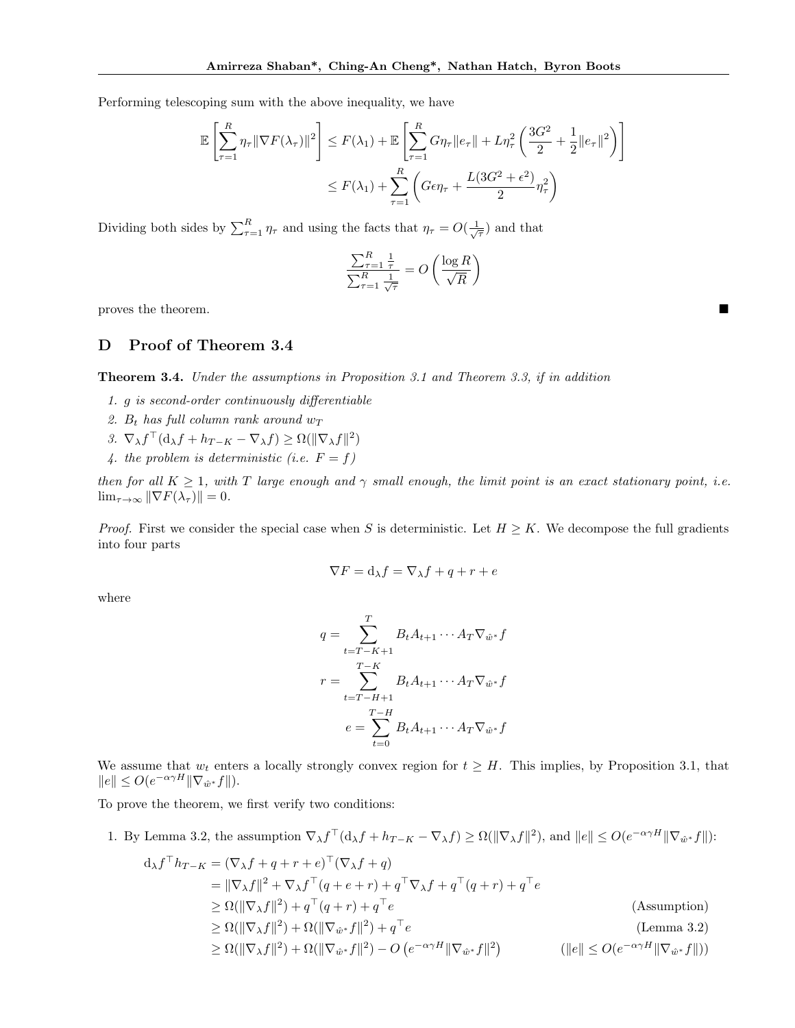Performing telescoping sum with the above inequality, we have

$$
\mathbb{E}\left[\sum_{\tau=1}^{R}\eta_{\tau}\|\nabla F(\lambda_{\tau})\|^{2}\right] \leq F(\lambda_{1}) + \mathbb{E}\left[\sum_{\tau=1}^{R}G\eta_{\tau}\|e_{\tau}\| + L\eta_{\tau}^{2}\left(\frac{3G^{2}}{2} + \frac{1}{2}\|e_{\tau}\|^{2}\right)\right]
$$

$$
\leq F(\lambda_{1}) + \sum_{\tau=1}^{R}\left(G\epsilon\eta_{\tau} + \frac{L(3G^{2} + \epsilon^{2})}{2}\eta_{\tau}^{2}\right)
$$

Dividing both sides by  $\sum_{\tau=1}^R \eta_{\tau}$  and using the facts that  $\eta_{\tau} = O(\frac{1}{\sqrt{\tau}})$  and that

$$
\frac{\sum_{\tau=1}^R\frac{1}{\tau}}{\sum_{\tau=1}^R\frac{1}{\sqrt{\tau}}}=O\left(\frac{\log R}{\sqrt{R}}\right)
$$

proves the theorem.

# D Proof of Theorem 3.4

Theorem 3.4. Under the assumptions in Proposition 3.1 and Theorem 3.3, if in addition

- 1. g is second-order continuously differentiable
- 2.  $B_t$  has full column rank around  $w_T$
- 3.  $\nabla_{\lambda} f^{\top}(\mathbf{d}_{\lambda} f + h_{T-K} \nabla_{\lambda} f) \geq \Omega(\|\nabla_{\lambda} f\|^2)$
- 4. the problem is deterministic (i.e.  $F = f$ )

then for all  $K \geq 1$ , with T large enough and  $\gamma$  small enough, the limit point is an exact stationary point, i.e.  $\lim_{\tau \to \infty} \|\nabla F(\lambda_\tau)\| = 0.$ 

*Proof.* First we consider the special case when S is deterministic. Let  $H \geq K$ . We decompose the full gradients into four parts

$$
\nabla F = \mathrm{d}_{\lambda} f = \nabla_{\lambda} f + q + r + e
$$

where

$$
q = \sum_{t=T-K+1}^{T} B_t A_{t+1} \cdots A_T \nabla_{\hat{w}^*} f
$$

$$
r = \sum_{t=T-H+1}^{T-K} B_t A_{t+1} \cdots A_T \nabla_{\hat{w}^*} f
$$

$$
e = \sum_{t=0}^{T-H} B_t A_{t+1} \cdots A_T \nabla_{\hat{w}^*} f
$$

We assume that  $w_t$  enters a locally strongly convex region for  $t \geq H$ . This implies, by Proposition 3.1, that  $||e|| \leq O(e^{-\alpha \gamma H} || \nabla_{\hat{w}^*} f ||).$ 

To prove the theorem, we first verify two conditions:

1. By Lemma 3.2, the assumption  $\nabla_{\lambda} f^{\top}(\mathrm{d}_{\lambda} f + h_{T-K} - \nabla_{\lambda} f) \ge \Omega(\|\nabla_{\lambda} f\|^2)$ , and  $||e|| \le O(e^{-\alpha \gamma H} \|\nabla_{\hat{w}^*} f\|)$ :

$$
d_{\lambda} f^{\top} h_{T-K} = (\nabla_{\lambda} f + q + r + e)^{\top} (\nabla_{\lambda} f + q)
$$
  
\n
$$
= ||\nabla_{\lambda} f||^{2} + \nabla_{\lambda} f^{\top} (q + e + r) + q^{\top} \nabla_{\lambda} f + q^{\top} (q + r) + q^{\top} e
$$
  
\n
$$
\geq \Omega(||\nabla_{\lambda} f||^{2}) + q^{\top} (q + r) + q^{\top} e
$$
  
\n
$$
\geq \Omega(||\nabla_{\lambda} f||^{2}) + \Omega(||\nabla_{\hat{w}^{*}} f||^{2}) + q^{\top} e
$$
  
\n
$$
\geq \Omega(||\nabla_{\lambda} f||^{2}) + \Omega(||\nabla_{\hat{w}^{*}} f||^{2}) - O(e^{-\alpha \gamma H} ||\nabla_{\hat{w}^{*}} f||^{2})
$$
  
\n
$$
= (1.88 \text{sumption})
$$
  
\n(1000)  
\n(1100)  
\n(1100)  
\n(1200)  
\n(1200)  
\n(1200)  
\n(1200)  
\n(1200)  
\n(1200)  
\n(1200)  
\n(1200)  
\n(1200)  
\n(1200)  
\n(1200)  
\n(1200)  
\n(1200)  
\n(1200)  
\n(1200)  
\n(1200)  
\n(1200)  
\n(1200)  
\n(1200)  
\n(1200)  
\n(1200)  
\n(1200)  
\n(1200)  
\n(1200)  
\n(1200)  
\n(1200)  
\n(1200)  
\n(1200)  
\n(1200)  
\n(1200)  
\n(1200)  
\n(1200)  
\n(1200)  
\n(1200)  
\n(1200)  
\n(1200)  
\n(1200)  
\n(1200)  
\n(1200)  
\n(1200)  
\n(1200)  
\n(1200)  
\n(1200)  
\n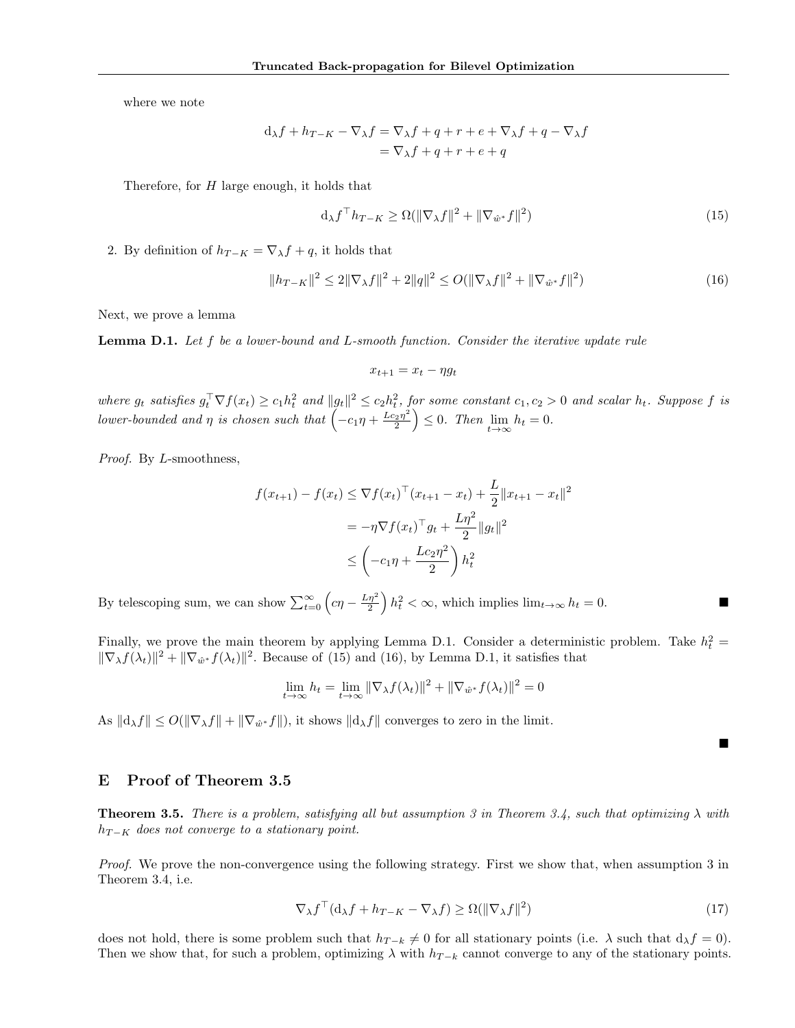where we note

$$
d_{\lambda}f + h_{T-K} - \nabla_{\lambda}f = \nabla_{\lambda}f + q + r + e + \nabla_{\lambda}f + q - \nabla_{\lambda}f
$$
  
=  $\nabla_{\lambda}f + q + r + e + q$ 

Therefore, for  $H$  large enough, it holds that

$$
\mathrm{d}_{\lambda} f^{\top} h_{T-K} \ge \Omega(\|\nabla_{\lambda} f\|^2 + \|\nabla_{\hat{w}^*} f\|^2) \tag{15}
$$

2. By definition of  $h_{T-K} = \nabla_{\lambda} f + q$ , it holds that

$$
||h_{T-K}||^2 \le 2||\nabla_\lambda f||^2 + 2||q||^2 \le O(||\nabla_\lambda f||^2 + ||\nabla_{\hat{w}^*} f||^2)
$$
\n(16)

Next, we prove a lemma

Lemma D.1. Let f be a lower-bound and L-smooth function. Consider the iterative update rule

$$
x_{t+1} = x_t - \eta g_t
$$

where  $g_t$  satisfies  $g_t^{\top} \nabla f(x_t) \geq c_1 h_t^2$  and  $||g_t||^2 \leq c_2 h_t^2$ , for some constant  $c_1, c_2 > 0$  and scalar  $h_t$ . Suppose f is lower-bounded and  $\eta$  is chosen such that  $\left(-c_1\eta + \frac{Lc_2\eta^2}{2}\right)$  $\left(\frac{2\eta^2}{2}\right) \leq 0$ . Then  $\lim_{t \to \infty} h_t = 0$ .

Proof. By L-smoothness,

$$
f(x_{t+1}) - f(x_t) \le \nabla f(x_t)^\top (x_{t+1} - x_t) + \frac{L}{2} ||x_{t+1} - x_t||^2
$$
  
=  $-\eta \nabla f(x_t)^\top g_t + \frac{L\eta^2}{2} ||g_t||^2$   
 $\le \left( -c_1 \eta + \frac{Lc_2 \eta^2}{2} \right) h_t^2$ 

By telescoping sum, we can show  $\sum_{t=0}^{\infty} \left( c \eta - \frac{L_{\eta}^{2}}{2} \right) h_{t}^{2} < \infty$ , which implies  $\lim_{t \to \infty} h_{t} = 0$ .

Finally, we prove the main theorem by applying Lemma D.1. Consider a deterministic problem. Take  $h_t^2 =$  $\|\nabla_{\lambda} f(\lambda_t)\|^2 + \|\nabla_{\hat{w}^*} f(\lambda_t)\|^2$ . Because of (15) and (16), by Lemma D.1, it satisfies that

$$
\lim_{t \to \infty} h_t = \lim_{t \to \infty} \|\nabla_{\lambda} f(\lambda_t)\|^2 + \|\nabla_{\hat{w}^*} f(\lambda_t)\|^2 = 0
$$

As  $\|\mathrm{d}\lambda f\| \leq O(\|\nabla_\lambda f\| + \|\nabla_{\hat{w}^*} f\|)$ , it shows  $\|\mathrm{d}\lambda f\|$  converges to zero in the limit.

 $\blacksquare$ 

# E Proof of Theorem 3.5

**Theorem 3.5.** There is a problem, satisfying all but assumption 3 in Theorem 3.4, such that optimizing  $\lambda$  with  $h_{T-K}$  does not converge to a stationary point.

Proof. We prove the non-convergence using the following strategy. First we show that, when assumption 3 in Theorem 3.4, i.e.

$$
\nabla_{\lambda} f^{\top} (\mathbf{d}_{\lambda} f + h_{T-K} - \nabla_{\lambda} f) \ge \Omega(\|\nabla_{\lambda} f\|^2)
$$
\n(17)

does not hold, there is some problem such that  $h_{T-k} \neq 0$  for all stationary points (i.e.  $\lambda$  such that  $d_{\lambda} f = 0$ ). Then we show that, for such a problem, optimizing  $\lambda$  with  $h_{T-k}$  cannot converge to any of the stationary points.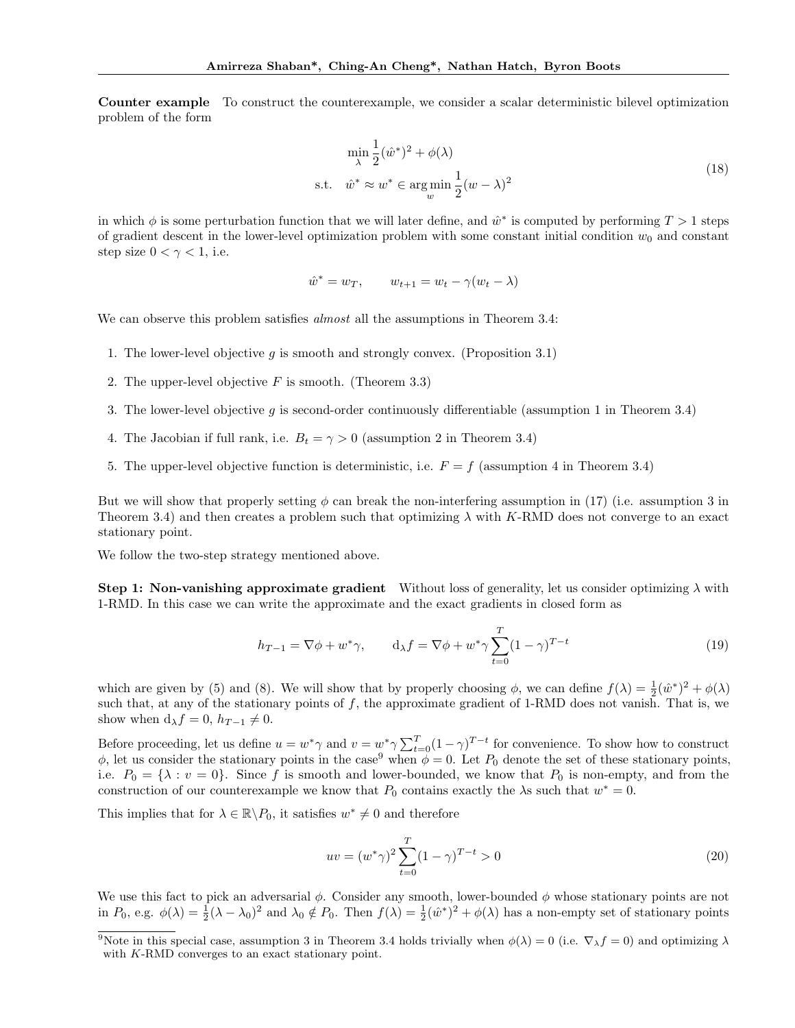Counter example To construct the counterexample, we consider a scalar deterministic bilevel optimization problem of the form

$$
\min_{\lambda} \frac{1}{2} (\hat{w}^*)^2 + \phi(\lambda)
$$
  
s.t.  $\hat{w}^* \approx w^* \in \arg\min_{w} \frac{1}{2} (w - \lambda)^2$  (18)

in which  $\phi$  is some perturbation function that we will later define, and  $\hat{w}^*$  is computed by performing  $T > 1$  steps of gradient descent in the lower-level optimization problem with some constant initial condition  $w_0$  and constant step size  $0 < \gamma < 1$ , i.e.

$$
\hat{w}^* = w_T, \qquad w_{t+1} = w_t - \gamma(w_t - \lambda)
$$

We can observe this problem satisfies *almost* all the assumptions in Theorem 3.4:

- 1. The lower-level objective q is smooth and strongly convex. (Proposition 3.1)
- 2. The upper-level objective  $F$  is smooth. (Theorem 3.3)
- 3. The lower-level objective g is second-order continuously differentiable (assumption 1 in Theorem 3.4)
- 4. The Jacobian if full rank, i.e.  $B_t = \gamma > 0$  (assumption 2 in Theorem 3.4)
- 5. The upper-level objective function is deterministic, i.e.  $F = f$  (assumption 4 in Theorem 3.4)

But we will show that properly setting  $\phi$  can break the non-interfering assumption in (17) (i.e. assumption 3 in Theorem 3.4) and then creates a problem such that optimizing  $\lambda$  with K-RMD does not converge to an exact stationary point.

We follow the two-step strategy mentioned above.

**Step 1: Non-vanishing approximate gradient** Without loss of generality, let us consider optimizing  $\lambda$  with 1-RMD. In this case we can write the approximate and the exact gradients in closed form as

$$
h_{T-1} = \nabla \phi + w^* \gamma, \qquad d_{\lambda} f = \nabla \phi + w^* \gamma \sum_{t=0}^{T} (1 - \gamma)^{T-t}
$$
(19)

which are given by (5) and (8). We will show that by properly choosing  $\phi$ , we can define  $f(\lambda) = \frac{1}{2}(\hat{w}^*)^2 + \phi(\lambda)$ such that, at any of the stationary points of  $f$ , the approximate gradient of 1-RMD does not vanish. That is, we show when  $d_{\lambda} f = 0$ ,  $h_{T-1} \neq 0$ .

Before proceeding, let us define  $u = w^* \gamma$  and  $v = w^* \gamma \sum_{t=0}^T (1-\gamma)^{T-t}$  for convenience. To show how to construct  $\phi$ , let us consider the stationary points in the case<sup>9</sup> when  $\phi = 0$ . Let  $P_0$  denote the set of these stationary points, i.e.  $P_0 = \{\lambda : v = 0\}$ . Since f is smooth and lower-bounded, we know that  $P_0$  is non-empty, and from the construction of our counterexample we know that  $P_0$  contains exactly the  $\lambda$ s such that  $w^* = 0$ .

This implies that for  $\lambda \in \mathbb{R} \backslash P_0$ , it satisfies  $w^* \neq 0$  and therefore

$$
uv = (w^*\gamma)^2 \sum_{t=0}^{T} (1-\gamma)^{T-t} > 0
$$
\n(20)

We use this fact to pick an adversarial  $\phi$ . Consider any smooth, lower-bounded  $\phi$  whose stationary points are not in  $P_0$ , e.g.  $\phi(\lambda) = \frac{1}{2}(\lambda - \lambda_0)^2$  and  $\lambda_0 \notin P_0$ . Then  $f(\lambda) = \frac{1}{2}(\hat{w}^*)^2 + \phi(\lambda)$  has a non-empty set of stationary points

<sup>&</sup>lt;sup>9</sup>Note in this special case, assumption 3 in Theorem 3.4 holds trivially when  $\phi(\lambda) = 0$  (i.e.  $\nabla_{\lambda} f = 0$ ) and optimizing  $\lambda$ with K-RMD converges to an exact stationary point.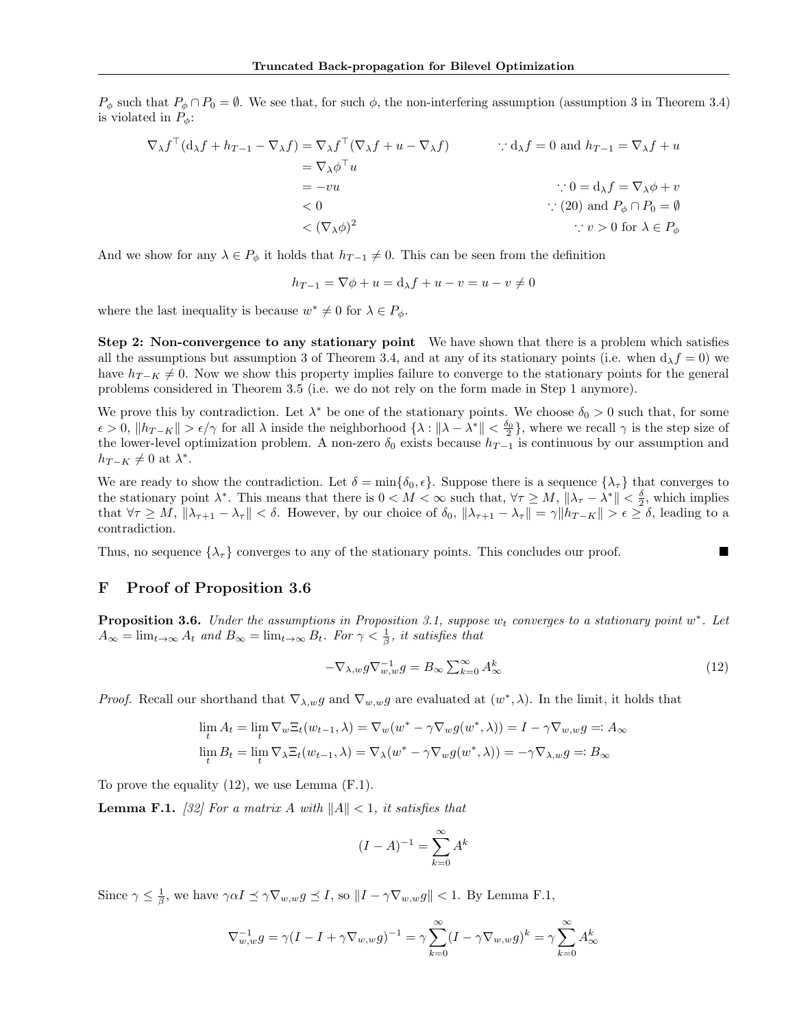$P_{\phi}$  such that  $P_{\phi} \cap P_0 = \emptyset$ . We see that, for such  $\phi$ , the non-interfering assumption (assumption 3 in Theorem 3.4) is violated in  $P_{\phi}$ :

$$
\nabla_{\lambda} f^{\top} (\mathbf{d}_{\lambda} f + h_{T-1} - \nabla_{\lambda} f) = \nabla_{\lambda} f^{\top} (\nabla_{\lambda} f + u - \nabla_{\lambda} f) \qquad \therefore \mathbf{d}_{\lambda} f = 0 \text{ and } h_{T-1} = \nabla_{\lambda} f + u
$$
  
\n
$$
= \nabla_{\lambda} \phi^{\top} u \qquad \qquad \therefore 0 = \mathbf{d}_{\lambda} f = \nabla_{\lambda} \phi + v
$$
  
\n
$$
< 0 \qquad \qquad \therefore (20) \text{ and } P_{\phi} \cap P_{0} = \emptyset
$$
  
\n
$$
< (\nabla_{\lambda} \phi)^{2} \qquad \qquad \therefore v > 0 \text{ for } \lambda \in P_{\phi}
$$

And we show for any  $\lambda \in P_{\phi}$  it holds that  $h_{T-1} \neq 0$ . This can be seen from the definition

$$
h_{T-1} = \nabla \phi + u = \mathrm{d}\lambda f + u - v = u - v \neq 0
$$

where the last inequality is because  $w^* \neq 0$  for  $\lambda \in P_{\phi}$ .

Step 2: Non-convergence to any stationary point We have shown that there is a problem which satisfies all the assumptions but assumption 3 of Theorem 3.4, and at any of its stationary points (i.e. when  $d_{\lambda} f = 0$ ) we have  $h_{T-K} \neq 0$ . Now we show this property implies failure to converge to the stationary points for the general problems considered in Theorem 3.5 (i.e. we do not rely on the form made in Step 1 anymore).

We prove this by contradiction. Let  $\lambda^*$  be one of the stationary points. We choose  $\delta_0 > 0$  such that, for some  $\epsilon > 0$ ,  $||h_{T-K}|| > \epsilon/\gamma$  for all  $\lambda$  inside the neighborhood  $\{\lambda : ||\lambda - \lambda^*|| < \frac{\delta_0}{2}\}$ , where we recall  $\gamma$  is the step size of the lower-level optimization problem. A non-zero  $\delta_0$  exists because  $h_{T-1}$  is continuous by our assumption and  $h_{T-K} \neq 0$  at  $\lambda^*$ .

We are ready to show the contradiction. Let  $\delta = \min\{\delta_0, \epsilon\}$ . Suppose there is a sequence  $\{\lambda_\tau\}$  that converges to the stationary point  $\lambda^*$ . This means that there is  $0 < M < \infty$  such that,  $\forall \tau \geq M$ ,  $\|\lambda_{\tau} - \lambda^*\| < \frac{\delta}{2}$ , which implies that  $\forall \tau \geq M, \|\lambda_{\tau+1} - \lambda_{\tau}\| < \delta$ . However, by our choice of  $\delta_0, \|\lambda_{\tau+1} - \lambda_{\tau}\| = \gamma \|h_{T-K}\| > \epsilon \geq \delta$ , leading to a contradiction.

Thus, no sequence  $\{\lambda_{\tau}\}\$ converges to any of the stationary points. This concludes our proof.

### F Proof of Proposition 3.6

**Proposition 3.6.** Under the assumptions in Proposition 3.1, suppose  $w_t$  converges to a stationary point  $w^*$ . Let  $A_{\infty} = \lim_{t \to \infty} A_t$  and  $B_{\infty} = \lim_{t \to \infty} B_t$ . For  $\gamma < \frac{1}{\beta}$ , it satisfies that

$$
-\nabla_{\lambda,w} g \nabla_{w,w}^{-1} g = B_{\infty} \sum_{k=0}^{\infty} A_{\infty}^k
$$
\n(12)

*Proof.* Recall our shorthand that  $\nabla_{\lambda,w} g$  and  $\nabla_{w,w} g$  are evaluated at  $(w^*,\lambda)$ . In the limit, it holds that

$$
\lim_{t} A_{t} = \lim_{t} \nabla_{w} \Xi_{t}(w_{t-1}, \lambda) = \nabla_{w}(w^{*} - \gamma \nabla_{w} g(w^{*}, \lambda)) = I - \gamma \nabla_{w,w} g =: A_{\infty}
$$
  

$$
\lim_{t} B_{t} = \lim_{t} \nabla_{\lambda} \Xi_{t}(w_{t-1}, \lambda) = \nabla_{\lambda}(w^{*} - \gamma \nabla_{w} g(w^{*}, \lambda)) = -\gamma \nabla_{\lambda, w} g =: B_{\infty}
$$

To prove the equality (12), we use Lemma (F.1).

**Lemma F.1.** [32] For a matrix A with  $||A|| < 1$ , it satisfies that

$$
(I - A)^{-1} = \sum_{k=0}^{\infty} A^k
$$

Since  $\gamma \leq \frac{1}{\beta}$ , we have  $\gamma \alpha I \leq \gamma \nabla_{w,w} g \leq I$ , so  $||I - \gamma \nabla_{w,w} g|| < 1$ . By Lemma F.1,

$$
\nabla_{w,w}^{-1} g = \gamma (I - I + \gamma \nabla_{w,w} g)^{-1} = \gamma \sum_{k=0}^{\infty} (I - \gamma \nabla_{w,w} g)^k = \gamma \sum_{k=0}^{\infty} A_{\infty}^k
$$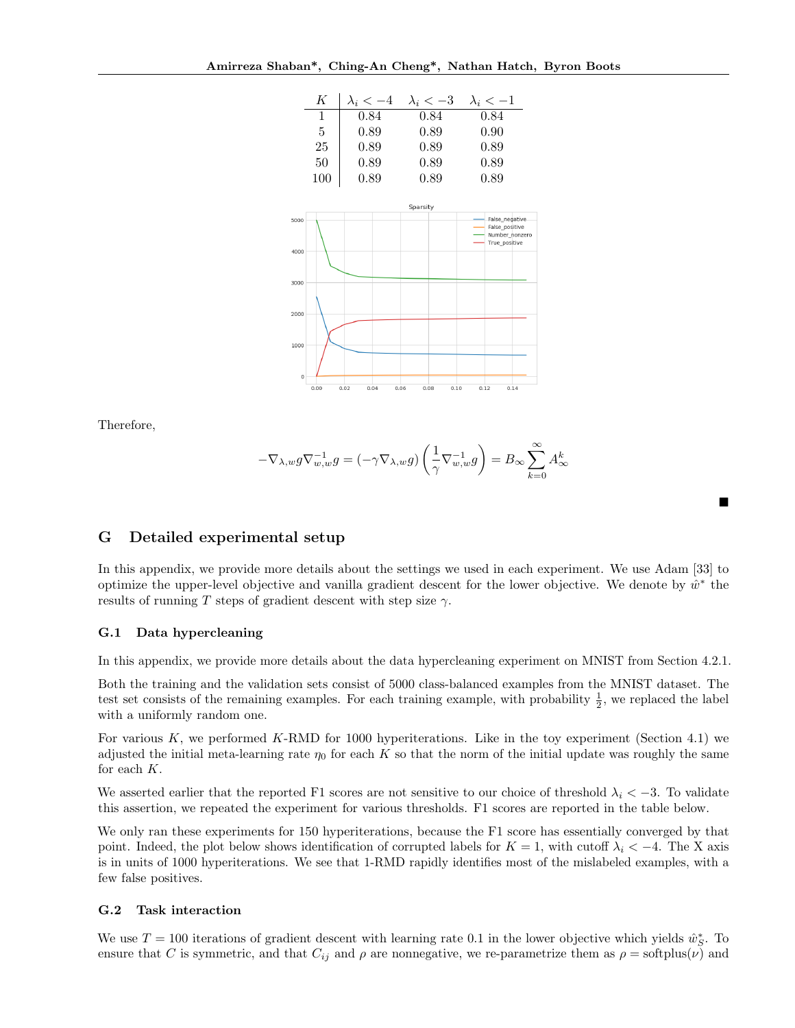

Therefore,

$$
-\nabla_{\lambda,w} g \nabla_{w,w}^{-1} g = (-\gamma \nabla_{\lambda,w} g) \left(\frac{1}{\gamma} \nabla_{w,w}^{-1} g\right) = B_\infty \sum_{k=0}^\infty A_\infty^k
$$

■

### G Detailed experimental setup

In this appendix, we provide more details about the settings we used in each experiment. We use Adam [33] to optimize the upper-level objective and vanilla gradient descent for the lower objective. We denote by  $\hat{w}^*$  the results of running T steps of gradient descent with step size  $\gamma$ .

### G.1 Data hypercleaning

In this appendix, we provide more details about the data hypercleaning experiment on MNIST from Section 4.2.1.

Both the training and the validation sets consist of 5000 class-balanced examples from the MNIST dataset. The test set consists of the remaining examples. For each training example, with probability  $\frac{1}{2}$ , we replaced the label with a uniformly random one.

For various K, we performed K-RMD for 1000 hyperiterations. Like in the toy experiment (Section 4.1) we adjusted the initial meta-learning rate  $\eta_0$  for each K so that the norm of the initial update was roughly the same for each K.

We asserted earlier that the reported F1 scores are not sensitive to our choice of threshold  $\lambda_i < -3$ . To validate this assertion, we repeated the experiment for various thresholds. F1 scores are reported in the table below.

We only ran these experiments for 150 hyperiterations, because the F1 score has essentially converged by that point. Indeed, the plot below shows identification of corrupted labels for  $K = 1$ , with cutoff  $\lambda_i < -4$ . The X axis is in units of 1000 hyperiterations. We see that 1-RMD rapidly identifies most of the mislabeled examples, with a few false positives.

#### G.2 Task interaction

We use  $T = 100$  iterations of gradient descent with learning rate 0.1 in the lower objective which yields  $\hat{w}_S^*$ . To ensure that C is symmetric, and that  $C_{ij}$  and  $\rho$  are nonnegative, we re-parametrize them as  $\rho = \text{softplus}(\nu)$  and